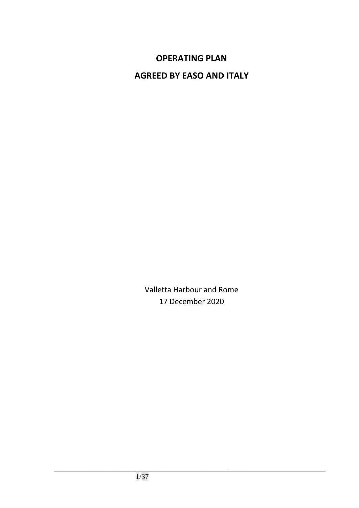# **OPERATING PLAN**

**AGREED BY EASO AND ITALY** 

Valletta Harbour and Rome 17 December 2020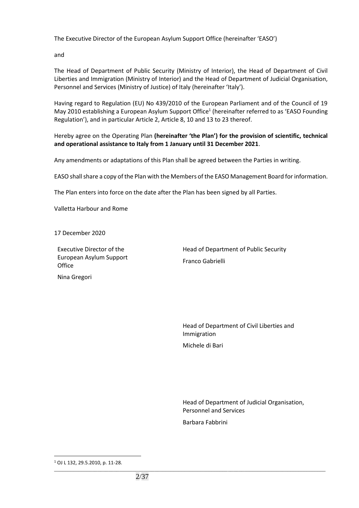The Executive Director of the European Asylum Support Office (hereinafter 'EASO')

and

The Head of Department of Public Security (Ministry of Interior), the Head of Department of Civil Liberties and Immigration (Ministry of Interior) and the Head of Department of Judicial Organisation, Personnel and Services (Ministry of Justice) of Italy (hereinafter 'Italy').

Having regard to Regulation (EU) No 439/2010 of the European Parliament and of the Council of 19 May 2010 establishing a European Asylum Support Office<sup>1</sup> (hereinafter referred to as 'EASO Founding Regulation'), and in particular Article 2, Article 8, 10 and 13 to 23 thereof.

Hereby agree on the Operating Plan **(hereinafter 'the Plan') for the provision of scientific, technical and operational assistance to Italy from 1 January until 31 December 2021**.

Any amendments or adaptations of this Plan shall be agreed between the Parties in writing.

EASO shall share a copy of the Plan with the Members of the EASO Management Board for information.

The Plan enters into force on the date after the Plan has been signed by all Parties.

Valletta Harbour and Rome

17 December 2020

Nina Gregori

Executive Director of the European Asylum Support **Office** 

Head of Department of Public Security Franco Gabrielli

Head of Department of Civil Liberties and Immigration Michele di Bari

Head of Department of Judicial Organisation, Personnel and Services Barbara Fabbrini

 $\overline{a}$ 

\_\_\_\_\_\_\_\_\_\_\_\_\_\_\_\_\_\_\_\_\_\_\_\_\_\_\_\_\_\_\_\_\_\_\_\_\_\_\_\_\_\_\_\_\_\_\_\_\_\_\_\_\_\_\_\_\_\_\_\_\_\_\_\_\_\_\_\_\_\_\_\_\_\_\_\_\_\_\_\_\_\_\_\_\_\_\_\_\_\_\_\_\_\_\_\_\_\_\_\_ <sup>1</sup> OJ L 132, 29.5.2010, p. 11-28.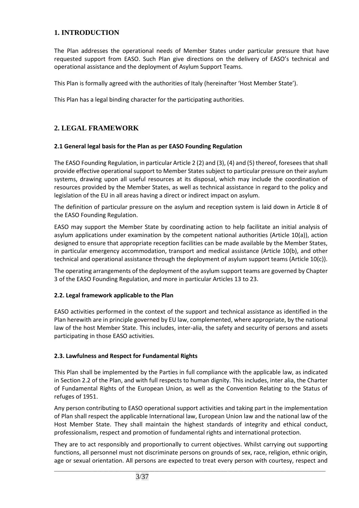# **1. INTRODUCTION**

The Plan addresses the operational needs of Member States under particular pressure that have requested support from EASO. Such Plan give directions on the delivery of EASO's technical and operational assistance and the deployment of Asylum Support Teams.

This Plan is formally agreed with the authorities of Italy (hereinafter 'Host Member State').

This Plan has a legal binding character for the participating authorities.

# **2. LEGAL FRAMEWORK**

# **2.1 General legal basis for the Plan as per EASO Founding Regulation**

The EASO Founding Regulation, in particular Article 2 (2) and (3), (4) and (5) thereof, foresees that shall provide effective operational support to Member States subject to particular pressure on their asylum systems, drawing upon all useful resources at its disposal, which may include the coordination of resources provided by the Member States, as well as technical assistance in regard to the policy and legislation of the EU in all areas having a direct or indirect impact on asylum.

The definition of particular pressure on the asylum and reception system is laid down in Article 8 of the EASO Founding Regulation.

EASO may support the Member State by coordinating action to help facilitate an initial analysis of asylum applications under examination by the competent national authorities (Article 10(a)), action designed to ensure that appropriate reception facilities can be made available by the Member States, in particular emergency accommodation, transport and medical assistance (Article 10(b), and other technical and operational assistance through the deployment of asylum support teams (Article 10(c)).

The operating arrangements of the deployment of the asylum support teams are governed by Chapter 3 of the EASO Founding Regulation, and more in particular Articles 13 to 23.

# **2.2. Legal framework applicable to the Plan**

EASO activities performed in the context of the support and technical assistance as identified in the Plan herewith are in principle governed by EU law, complemented, where appropriate, by the national law of the host Member State. This includes, inter-alia, the safety and security of persons and assets participating in those EASO activities.

# **2.3. Lawfulness and Respect for Fundamental Rights**

This Plan shall be implemented by the Parties in full compliance with the applicable law, as indicated in Section 2.2 of the Plan, and with full respects to human dignity. This includes, inter alia, the Charter of Fundamental Rights of the European Union, as well as the Convention Relating to the Status of refuges of 1951.

Any person contributing to EASO operational support activities and taking part in the implementation of Plan shall respect the applicable International law, European Union law and the national law of the Host Member State. They shall maintain the highest standards of integrity and ethical conduct, professionalism, respect and promotion of fundamental rights and international protection.

They are to act responsibly and proportionally to current objectives. Whilst carrying out supporting functions, all personnel must not discriminate persons on grounds of sex, race, religion, ethnic origin, age or sexual orientation. All persons are expected to treat every person with courtesy, respect and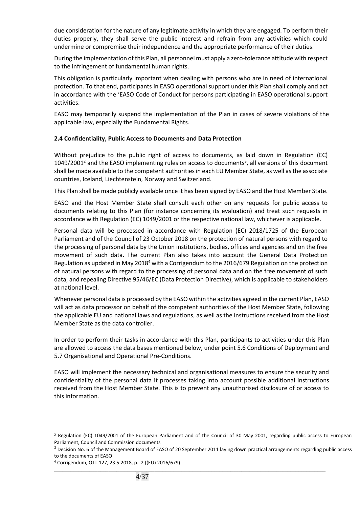due consideration for the nature of any legitimate activity in which they are engaged. To perform their duties properly, they shall serve the public interest and refrain from any activities which could undermine or compromise their independence and the appropriate performance of their duties.

During the implementation of this Plan, all personnel must apply a zero-tolerance attitude with respect to the infringement of fundamental human rights.

This obligation is particularly important when dealing with persons who are in need of international protection. To that end, participants in EASO operational support under this Plan shall comply and act in accordance with the 'EASO Code of Conduct for persons participating in EASO operational support activities.

EASO may temporarily suspend the implementation of the Plan in cases of severe violations of the applicable law, especially the Fundamental Rights.

#### **2.4 Confidentiality, Public Access to Documents and Data Protection**

Without prejudice to the public right of access to documents, as laid down in Regulation (EC)  $1049/2001<sup>2</sup>$  and the EASO implementing rules on access to documents<sup>3</sup>, all versions of this document shall be made available to the competent authorities in each EU Member State, as well as the associate countries, Iceland, Liechtenstein, Norway and Switzerland.

This Plan shall be made publicly available once it has been signed by EASO and the Host Member State.

EASO and the Host Member State shall consult each other on any requests for public access to documents relating to this Plan (for instance concerning its evaluation) and treat such requests in accordance with Regulation (EC) 1049/2001 or the respective national law, whichever is applicable.

Personal data will be processed in accordance with Regulation (EC) 2018/1725 of the European Parliament and of the Council of 23 October 2018 on the protection of natural persons with regard to the processing of personal data by the Union institutions, bodies, offices and agencies and on the free movement of such data. The current Plan also takes into account the General Data Protection Regulation as updated in May 2018<sup>4</sup> with a Corrigendum to the 2016/679 Regulation on the protection of natural persons with regard to the processing of personal data and on the free movement of such data, and repealing Directive 95/46/EC (Data Protection Directive), which is applicable to stakeholders at national level.

Whenever personal data is processed by the EASO within the activities agreed in the current Plan, EASO will act as data processor on behalf of the competent authorities of the Host Member State, following the applicable EU and national laws and regulations, as well as the instructions received from the Host Member State as the data controller.

In order to perform their tasks in accordance with this Plan, participants to activities under this Plan are allowed to access the data bases mentioned below, under point 5.6 Conditions of Deployment and 5.7 Organisational and Operational Pre-Conditions.

EASO will implement the necessary technical and organisational measures to ensure the security and confidentiality of the personal data it processes taking into account possible additional instructions received from the Host Member State. This is to prevent any unauthorised disclosure of or access to this information.

\_\_\_\_\_\_\_\_\_\_\_\_\_\_\_\_\_\_\_\_\_\_\_\_\_\_\_\_\_\_\_\_\_\_\_\_\_\_\_\_\_\_\_\_\_\_\_\_\_\_\_\_\_\_\_\_\_\_\_\_\_\_\_\_\_\_\_\_\_\_\_\_\_\_\_\_\_\_\_\_\_\_\_\_\_\_\_\_\_\_\_\_\_\_\_\_\_\_\_\_

 $\overline{a}$ 

<sup>2</sup> Regulation (EC) 1049/2001 of the European Parliament and of the Council of 30 May 2001, regarding public access to European Parliament, Council and Commission documents

 $3$  Decision No. 6 of the Management Board of EASO of 20 September 2011 laying down practical arrangements regarding public access to the documents of EASO

<sup>4</sup> Corrigendum, OJ L 127, 23.5.2018, p. 2 ((EU) 2016/679)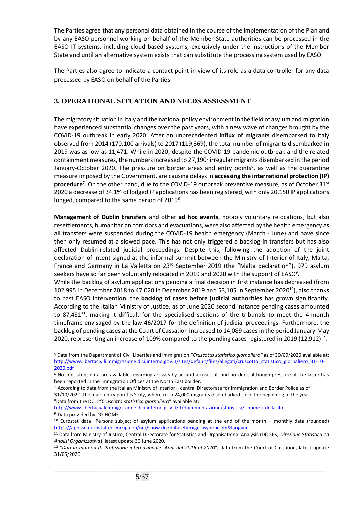The Parties agree that any personal data obtained in the course of the implementation of the Plan and by any EASO personnel working on behalf of the Member State authorities can be processed in the EASO IT systems, including cloud-based systems, exclusively under the instructions of the Member State and until an alternative system exists that can substitute the processing system used by EASO.

The Parties also agree to indicate a contact point in view of its role as a data controller for any data processed by EASO on behalf of the Parties.

# **3. OPERATIONAL SITUATION AND NEEDS ASSESSMENT**

The migratory situation in Italy and the national policy environment in the field of asylum and migration have experienced substantial changes over the past years, with a new wave of changes brought by the COVID-19 outbreak in early 2020. After an unprecedented **influx of migrants** disembarked to Italy observed from 2014 (170,100 arrivals) to 2017 (119,369), the total number of migrants disembarked in 2019 was as low as 11,471. While in 2020, despite the COVID-19 pandemic outbreak and the related containment measures, the numbers increased to 27,190<sup>5</sup> irregular migrants disembarked in the period January-October 2020. The pressure on border areas and entry points<sup>6</sup>, as well as the quarantine measure imposed by the Government, are causing delays in **accessing the international protection (IP)** procedure<sup>7</sup>. On the other hand, due to the COVID-19 outbreak preventive measure, as of October 31<sup>st</sup> 2020 a decrease of 34.1% of lodged IP applications has been registered, with only 20,150 IP applications lodged, compared to the same period of 2019<sup>8</sup>.

**Management of Dublin transfers** and other **ad hoc events**, notably voluntary relocations, but also resettlements, humanitarian corridors and evacuations, were also affected by the health emergency as all transfers were suspended during the COVID-19 health emergency (March - June) and have since then only resumed at a slowed pace. This has not only triggered a backlog in transfers but has also affected Dublin-related judicial proceedings. Despite this, following the adoption of the joint declaration of intent signed at the informal summit between the Ministry of Interior of Italy, Malta, France and Germany in La Valletta on 23<sup>rd</sup> September 2019 (the "Malta declaration"), 979 asylum seekers have so far been voluntarily relocated in 2019 and 2020 with the support of EASO<sup>9</sup>.

While the backlog of asylum applications pending a final decision in first instance has decreased (from 102,995 in December 2018 to 47,020 in December 2019 and 53,105 in September 2020 $^{10}$ ), also thanks to past EASO intervention, the **backlog of cases before judicial authorities** has grown significantly. According to the Italian Ministry of Justice, as of June 2020 second instance pending cases amounted to 87,481<sup>11</sup>, making it difficult for the specialised sections of the tribunals to meet the 4-month timeframe envisaged by the law 46/2017 for the definition of judicial proceedings. Furthermore, the backlog of pending cases at the Court of Cassation increased to 14,089 cases in the period January-May 2020, representing an increase of 109% compared to the pending cases registered in 2019 (12,912)<sup>12</sup>.

<http://www.libertaciviliimmigrazione.dlci.interno.gov.it/it/documentazione/statistica/i-numeri-dellasilo> <sup>9</sup> Data provided by DG HOME.

\_\_\_\_\_\_\_\_\_\_\_\_\_\_\_\_\_\_\_\_\_\_\_\_\_\_\_\_\_\_\_\_\_\_\_\_\_\_\_\_\_\_\_\_\_\_\_\_\_\_\_\_\_\_\_\_\_\_\_\_\_\_\_\_\_\_\_\_\_\_\_\_\_\_\_\_\_\_\_\_\_\_\_\_\_\_\_\_\_\_\_\_\_\_\_\_\_\_\_\_

 $\overline{a}$ 

<sup>5</sup> Data from the Department of Civil Liberties and Immigration "*Cruscotto statistico giornaliero"* as of 30/09/2020 available at: [http://www.libertaciviliimmigrazione.dlci.interno.gov.it/sites/default/files/allegati/cruscotto\\_statistico\\_giornaliero\\_31-10-](http://www.libertaciviliimmigrazione.dlci.interno.gov.it/sites/default/files/allegati/cruscotto_statistico_giornaliero_31-10-2020.pdf) [2020.pdf](http://www.libertaciviliimmigrazione.dlci.interno.gov.it/sites/default/files/allegati/cruscotto_statistico_giornaliero_31-10-2020.pdf)

<sup>6</sup> No consistent data are available regarding arrivals by air and arrivals at land borders, although pressure at the latter has been reported in the Immigration Offices at the North East border.

 $7$  According to data from the Italian Ministry of Interior – central Directorate for Immigration and Border Police as of 31/10/2020, the main entry point is Sicily, where circa 24,000 migrants disembarked since the beginning of the year. <sup>8</sup>Data from the DCLI "*Cruscotto statistico giornaliero*" available at:

<sup>10</sup> Eurostat data "Persons subject of asylum applications pending at the end of the month – monthly data (rounded) [https://appsso.eurostat.ec.europa.eu/nui/show.do?dataset=migr\\_asypenctzm&lang=en](https://appsso.eurostat.ec.europa.eu/nui/show.do?dataset=migr_asypenctzm&lang=en)

<sup>11</sup> Data from Ministry of Justice, Central Directorate for Statistics and Organisational Analysis (DOGPS, *Direzione Statistica ed Analisi Organizzativa*), latest update 30 June 2020.

<sup>12</sup> "*Dati in materia di Protezione internazionale*. *Anni dal 2016 al 2020*"; data from the Court of Cassation, latest update 31/05/2020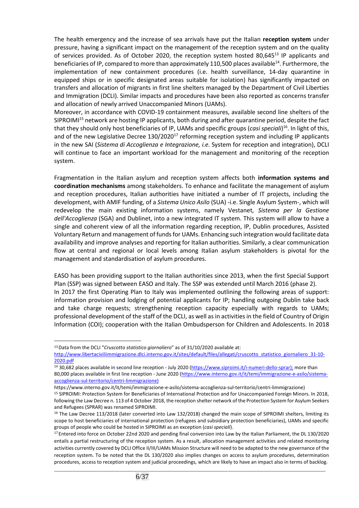The health emergency and the increase of sea arrivals have put the Italian **reception system** under pressure, having a significant impact on the management of the reception system and on the quality of services provided. As of October 2020, the reception system hosted 80,645<sup>13</sup> IP applicants and beneficiaries of IP, compared to more than approximately 110,500 places available<sup>14</sup>. Furthermore, the implementation of new containment procedures (i.e. health surveillance, 14-day quarantine in equipped ships or in specific designated areas suitable for isolation) has significantly impacted on transfers and allocation of migrants in first line shelters managed by the Department of Civil Liberties and Immigration (DCLI). Similar impacts and procedures have been also reported as concerns transfer and allocation of newly arrived Unaccompanied Minors (UAMs).

Moreover, in accordance with COVID-19 containment measures, available second line shelters of the SIPROIMI<sup>15</sup> network are hosting IP applicants, both during and after quarantine period, despite the fact that they should only host beneficiaries of IP, UAMs and specific groups (*casi speciali*) <sup>16</sup>. In light of this, and of the new Legislative Decree 130/2020<sup>17</sup> reforming reception system and including IP applicants in the new SAI (*Sistema di Accoglienza e Integrazione, i.e.* System for reception and integration), DCLI will continue to face an important workload for the management and monitoring of the reception system.

Fragmentation in the Italian asylum and reception system affects both **information systems and coordination mechanisms** among stakeholders. To enhance and facilitate the management of asylum and reception procedures, Italian authorities have initiated a number of IT projects, including the development, with AMIF funding, of a *Sistema Unico Asilo* (SUA) -i.e. Single Asylum System-, which will redevelop the main existing information systems, namely Vestanet, *Sistema per la Gestione dell'Accoglienza* (SGA) and Dublinet, into a new integrated IT system. This system will allow to have a single and coherent view of all the information regarding reception, IP, Dublin procedures, Assisted Voluntary Return and management of funds for UAMs. Enhancing such integration would facilitate data availability and improve analyses and reporting for Italian authorities. Similarly, a clear communication flow at central and regional or local levels among Italian asylum stakeholders is pivotal for the management and standardisation of asylum procedures.

EASO has been providing support to the Italian authorities since 2013, when the first Special Support Plan (SSP) was signed between EASO and Italy. The SSP was extended until March 2016 (phase 2). In 2017 the first Operating Plan to Italy was implemented outlining the following areas of support: information provision and lodging of potential applicants for IP; handling outgoing Dublin take back and take charge requests; strengthening reception capacity especially with regards to UAMs; professional development of the staff of the DCLI, as well as in activities in the field of Country of Origin Information (COI); cooperation with the Italian Ombudsperson for Children and Adolescents. In 2018

 $\overline{a}$ 

https://www.interno.gov.it/it/temi/immigrazione-e-asilo/sistema-accoglienza-sul-territorio/centri-limmigrazione)

<sup>13</sup>Data from the DCLI "*Cruscotto statistico giornaliero*" as of 31/10/2020 available at:

[http://www.libertaciviliimmigrazione.dlci.interno.gov.it/sites/default/files/allegati/cruscotto\\_statistico\\_giornaliero\\_31-10-](http://www.libertaciviliimmigrazione.dlci.interno.gov.it/sites/default/files/allegati/cruscotto_statistico_giornaliero_31-10-2020.pdf) [2020.pdf](http://www.libertaciviliimmigrazione.dlci.interno.gov.it/sites/default/files/allegati/cruscotto_statistico_giornaliero_31-10-2020.pdf)

<sup>14</sup> 30,682 places available in second line reception - July 2020 [\(https://www.siproimi.it/i-numeri-dello-sprar\);](https://www.siproimi.it/i-numeri-dello-sprar);) more than 80,000 places available in first line reception - June 2020 [\(https://www.interno.gov.it/it/temi/immigrazione-e-asilo/sistema](https://www.interno.gov.it/it/temi/immigrazione-e-asilo/sistema-accoglienza-sul-territorio/centri-limmigrazione))[accoglienza-sul-territorio/centri-limmigrazione\)](https://www.interno.gov.it/it/temi/immigrazione-e-asilo/sistema-accoglienza-sul-territorio/centri-limmigrazione))

<sup>15</sup> SIPROIMI: Protection System for Beneficiaries of International Protection and for Unaccompanied Foreign Minors. In 2018, following the Law Decree n. 113 of 4 October 2018, the reception shelter network of the Protection System for Asylum Seekers and Refugees (SPRAR) was renamed SIPROIMI.

<sup>&</sup>lt;sup>16</sup> The Law Decree 113/2018 (later converted into Law 132/2018) changed the main scope of SIPROIMI shelters, limiting its scope to host beneficiaries of international protection (refugees and subsidiary protection beneficiaries), UAMs and specific groups of people who could be hosted in SIPROIMI as an exception (*casi speciali*).

<sup>&</sup>lt;sup>17</sup> Entered into force on October 22nd 2020 and pending final conversion into Law by the Italian Parliament, the DL 130/2020 entails a partial restructuring of the reception system. As a result, allocation management activities and related monitoring activities currently covered by DCLI Office II/III/UAMs Mission Structure will need to be adapted to the new governance of the reception system. To be noted that the DL 130/2020 also implies changes on access to asylum procedures, determination procedures, access to reception system and judicial proceedings, which are likely to have an impact also in terms of backlog.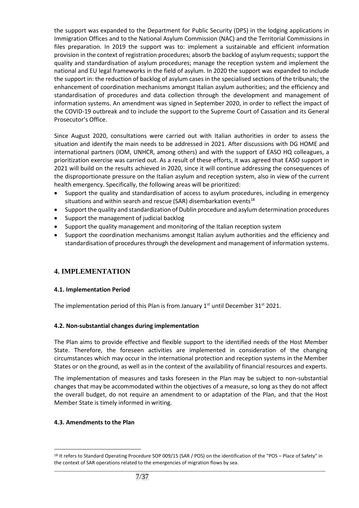the support was expanded to the Department for Public Security (DPS) in the lodging applications in Immigration Offices and to the National Asylum Commission (NAC) and the Territorial Commissions in files preparation. In 2019 the support was to: implement a sustainable and efficient information provision in the context of registration procedures; absorb the backlog of asylum requests; support the quality and standardisation of asylum procedures; manage the reception system and implement the national and EU legal frameworks in the field of asylum. In 2020 the support was expanded to include the support in: the reduction of backlog of asylum cases in the specialised sections of the tribunals; the enhancement of coordination mechanisms amongst Italian asylum authorities; and the efficiency and standardisation of procedures and data collection through the development and management of information systems. An amendment was signed in September 2020, in order to reflect the impact of the COVID-19 outbreak and to include the support to the Supreme Court of Cassation and its General Prosecutor's Office.

Since August 2020, consultations were carried out with Italian authorities in order to assess the situation and identify the main needs to be addressed in 2021. After discussions with DG HOME and international partners (IOM, UNHCR, among others) and with the support of EASO HQ colleagues, a prioritization exercise was carried out. As a result of these efforts, it was agreed that EASO support in 2021 will build on the results achieved in 2020, since it will continue addressing the consequences of the disproportionate pressure on the Italian asylum and reception system, also in view of the current health emergency. Specifically, the following areas will be prioritized:

- Support the quality and standardisation of access to asylum procedures, including in emergency situations and within search and rescue (SAR) disembarkation events<sup>18</sup>
- Support the quality and standardization of Dublin procedure and asylum determination procedures
- Support the management of judicial backlog
- Support the quality management and monitoring of the Italian reception system
- Support the coordination mechanisms amongst Italian asylum authorities and the efficiency and standardisation of procedures through the development and management of information systems.

# **4. IMPLEMENTATION**

# **4.1. Implementation Period**

The implementation period of this Plan is from January  $1<sup>st</sup>$  until December 31<sup>st</sup> 2021.

# **4.2. Non-substantial changes during implementation**

The Plan aims to provide effective and flexible support to the identified needs of the Host Member State. Therefore, the foreseen activities are implemented in consideration of the changing circumstances which may occur in the international protection and reception systems in the Member States or on the ground, as well as in the context of the availability of financial resources and experts.

The implementation of measures and tasks foreseen in the Plan may be subject to non-substantial changes that may be accommodated within the objectives of a measure, so long as they do not affect the overall budget, do not require an amendment to or adaptation of the Plan, and that the Host Member State is timely informed in writing.

# **4.3. Amendments to the Plan**

 $\overline{a}$ 

\_\_\_\_\_\_\_\_\_\_\_\_\_\_\_\_\_\_\_\_\_\_\_\_\_\_\_\_\_\_\_\_\_\_\_\_\_\_\_\_\_\_\_\_\_\_\_\_\_\_\_\_\_\_\_\_\_\_\_\_\_\_\_\_\_\_\_\_\_\_\_\_\_\_\_\_\_\_\_\_\_\_\_\_\_\_\_\_\_\_\_\_\_\_\_\_\_\_\_\_ 18 It refers to Standard Operating Procedure SOP 009/15 (SAR / POS) on the identification of the "POS - Place of Safety" in the context of SAR operations related to the emergencies of migration flows by sea.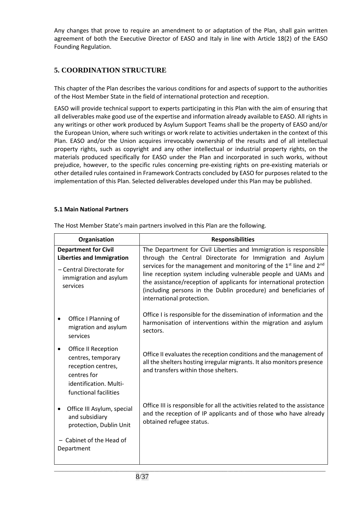Any changes that prove to require an amendment to or adaptation of the Plan, shall gain written agreement of both the Executive Director of EASO and Italy in line with Article 18(2) of the EASO Founding Regulation.

# **5. COORDINATION STRUCTURE**

This chapter of the Plan describes the various conditions for and aspects of support to the authorities of the Host Member State in the field of international protection and reception.

EASO will provide technical support to experts participating in this Plan with the aim of ensuring that all deliverables make good use of the expertise and information already available to EASO. All rights in any writings or other work produced by Asylum Support Teams shall be the property of EASO and/or the European Union, where such writings or work relate to activities undertaken in the context of this Plan. EASO and/or the Union acquires irrevocably ownership of the results and of all intellectual property rights, such as copyright and any other intellectual or industrial property rights, on the materials produced specifically for EASO under the Plan and incorporated in such works, without prejudice, however, to the specific rules concerning pre-existing rights on pre-existing materials or other detailed rules contained in Framework Contracts concluded by EASO for purposes related to the implementation of this Plan. Selected deliverables developed under this Plan may be published.

#### **5.1 Main National Partners**

| Organisation                                                                                                                       | <b>Responsibilities</b>                                                                                                                                                                                                                                                                                                                                                                                                                                                 |
|------------------------------------------------------------------------------------------------------------------------------------|-------------------------------------------------------------------------------------------------------------------------------------------------------------------------------------------------------------------------------------------------------------------------------------------------------------------------------------------------------------------------------------------------------------------------------------------------------------------------|
| <b>Department for Civil</b><br><b>Liberties and Immigration</b><br>- Central Directorate for<br>immigration and asylum<br>services | The Department for Civil Liberties and Immigration is responsible<br>through the Central Directorate for Immigration and Asylum<br>services for the management and monitoring of the 1 <sup>st</sup> line and 2 <sup>nd</sup><br>line reception system including vulnerable people and UAMs and<br>the assistance/reception of applicants for international protection<br>(including persons in the Dublin procedure) and beneficiaries of<br>international protection. |
| Office I Planning of<br>migration and asylum<br>services                                                                           | Office I is responsible for the dissemination of information and the<br>harmonisation of interventions within the migration and asylum<br>sectors.                                                                                                                                                                                                                                                                                                                      |
| Office II Reception<br>centres, temporary<br>reception centres,<br>centres for<br>identification. Multi-<br>functional facilities  | Office II evaluates the reception conditions and the management of<br>all the shelters hosting irregular migrants. It also monitors presence<br>and transfers within those shelters.                                                                                                                                                                                                                                                                                    |
| Office III Asylum, special<br>and subsidiary<br>protection, Dublin Unit                                                            | Office III is responsible for all the activities related to the assistance<br>and the reception of IP applicants and of those who have already<br>obtained refugee status.                                                                                                                                                                                                                                                                                              |
| - Cabinet of the Head of<br>Department                                                                                             |                                                                                                                                                                                                                                                                                                                                                                                                                                                                         |

\_\_\_\_\_\_\_\_\_\_\_\_\_\_\_\_\_\_\_\_\_\_\_\_\_\_\_\_\_\_\_\_\_\_\_\_\_\_\_\_\_\_\_\_\_\_\_\_\_\_\_\_\_\_\_\_\_\_\_\_\_\_\_\_\_\_\_\_\_\_\_\_\_\_\_\_\_\_\_\_\_\_\_\_\_\_\_\_\_\_\_\_\_\_\_\_\_\_\_\_

The Host Member State's main partners involved in this Plan are the following.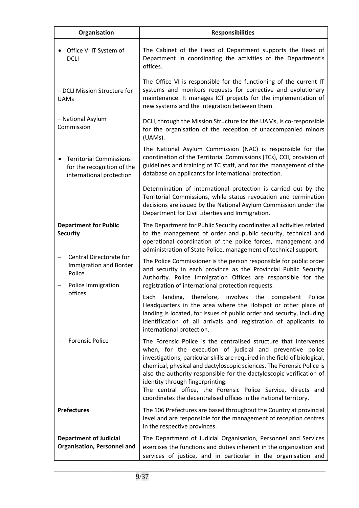| Organisation                                                                                  | <b>Responsibilities</b>                                                                                                                                                                                                                                                                                                                                                                                                                                                                                                              |
|-----------------------------------------------------------------------------------------------|--------------------------------------------------------------------------------------------------------------------------------------------------------------------------------------------------------------------------------------------------------------------------------------------------------------------------------------------------------------------------------------------------------------------------------------------------------------------------------------------------------------------------------------|
| Office VI IT System of<br><b>DCLI</b>                                                         | The Cabinet of the Head of Department supports the Head of<br>Department in coordinating the activities of the Department's<br>offices.                                                                                                                                                                                                                                                                                                                                                                                              |
| - DCLI Mission Structure for<br><b>UAMs</b>                                                   | The Office VI is responsible for the functioning of the current IT<br>systems and monitors requests for corrective and evolutionary<br>maintenance. It manages ICT projects for the implementation of<br>new systems and the integration between them.                                                                                                                                                                                                                                                                               |
| - National Asylum<br>Commission                                                               | DCLI, through the Mission Structure for the UAMs, is co-responsible<br>for the organisation of the reception of unaccompanied minors<br>(UAMs).                                                                                                                                                                                                                                                                                                                                                                                      |
| <b>Territorial Commissions</b><br>٠<br>for the recognition of the<br>international protection | The National Asylum Commission (NAC) is responsible for the<br>coordination of the Territorial Commissions (TCs), COI, provision of<br>guidelines and training of TC staff, and for the management of the<br>database on applicants for international protection.                                                                                                                                                                                                                                                                    |
|                                                                                               | Determination of international protection is carried out by the<br>Territorial Commissions, while status revocation and termination<br>decisions are issued by the National Asylum Commission under the<br>Department for Civil Liberties and Immigration.                                                                                                                                                                                                                                                                           |
| <b>Department for Public</b><br><b>Security</b>                                               | The Department for Public Security coordinates all activities related<br>to the management of order and public security, technical and<br>operational coordination of the police forces, management and<br>administration of State Police, management of technical support.                                                                                                                                                                                                                                                          |
| Central Directorate for<br><b>Immigration and Border</b><br>Police<br>Police Immigration      | The Police Commissioner is the person responsible for public order<br>and security in each province as the Provincial Public Security<br>Authority. Police Immigration Offices are responsible for the<br>registration of international protection requests.                                                                                                                                                                                                                                                                         |
| offices                                                                                       | Each landing, therefore, involves the competent Police<br>Headquarters in the area where the Hotspot or other place of<br>landing is located, for issues of public order and security, including<br>identification of all arrivals and registration of applicants to<br>international protection.                                                                                                                                                                                                                                    |
| <b>Forensic Police</b>                                                                        | The Forensic Police is the centralised structure that intervenes<br>when, for the execution of judicial and preventive police<br>investigations, particular skills are required in the field of biological,<br>chemical, physical and dactyloscopic sciences. The Forensic Police is<br>also the authority responsible for the dactyloscopic verification of<br>identity through fingerprinting.<br>The central office, the Forensic Police Service, directs and<br>coordinates the decentralised offices in the national territory. |
| <b>Prefectures</b>                                                                            | The 106 Prefectures are based throughout the Country at provincial<br>level and are responsible for the management of reception centres<br>in the respective provinces.                                                                                                                                                                                                                                                                                                                                                              |
| <b>Department of Judicial</b><br><b>Organisation, Personnel and</b>                           | The Department of Judicial Organisation, Personnel and Services<br>exercises the functions and duties inherent in the organization and<br>services of justice, and in particular in the organisation and                                                                                                                                                                                                                                                                                                                             |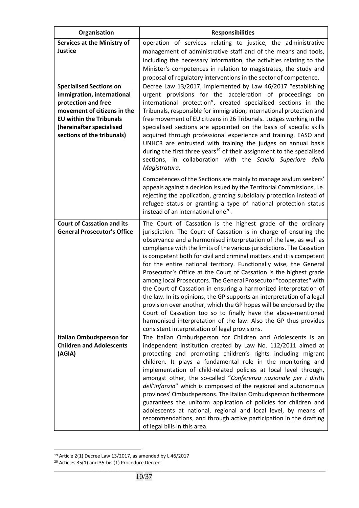| Organisation                                                                                                                                                                                                   | <b>Responsibilities</b>                                                                                                                                                                                                                                                                                                                                                                                                                                                                                                                                                                                                                                                                                                                                                                                                                                                                                                                                                            |
|----------------------------------------------------------------------------------------------------------------------------------------------------------------------------------------------------------------|------------------------------------------------------------------------------------------------------------------------------------------------------------------------------------------------------------------------------------------------------------------------------------------------------------------------------------------------------------------------------------------------------------------------------------------------------------------------------------------------------------------------------------------------------------------------------------------------------------------------------------------------------------------------------------------------------------------------------------------------------------------------------------------------------------------------------------------------------------------------------------------------------------------------------------------------------------------------------------|
| <b>Services at the Ministry of</b><br><b>Justice</b>                                                                                                                                                           | operation of services relating to justice, the administrative<br>management of administrative staff and of the means and tools,<br>including the necessary information, the activities relating to the<br>Minister's competences in relation to magistrates, the study and<br>proposal of regulatory interventions in the sector of competence.                                                                                                                                                                                                                                                                                                                                                                                                                                                                                                                                                                                                                                    |
| <b>Specialised Sections on</b><br>immigration, international<br>protection and free<br>movement of citizens in the<br><b>EU within the Tribunals</b><br>(hereinafter specialised<br>sections of the tribunals) | Decree Law 13/2017, implemented by Law 46/2017 "establishing<br>urgent provisions for the acceleration of proceedings on<br>international protection", created specialised sections in the<br>Tribunals, responsible for immigration, international protection and<br>free movement of EU citizens in 26 Tribunals. Judges working in the<br>specialised sections are appointed on the basis of specific skills<br>acquired through professional experience and training. EASO and<br>UNHCR are entrusted with training the judges on annual basis<br>during the first three years <sup>19</sup> of their assignment to the specialised<br>sections, in collaboration with the Scuola Superiore della<br>Magistratura.                                                                                                                                                                                                                                                             |
|                                                                                                                                                                                                                | Competences of the Sections are mainly to manage asylum seekers'<br>appeals against a decision issued by the Territorial Commissions, i.e.<br>rejecting the application, granting subsidiary protection instead of<br>refugee status or granting a type of national protection status<br>instead of an international one <sup>20</sup> .                                                                                                                                                                                                                                                                                                                                                                                                                                                                                                                                                                                                                                           |
| <b>Court of Cassation and its</b><br><b>General Prosecutor's Office</b>                                                                                                                                        | The Court of Cassation is the highest grade of the ordinary<br>jurisdiction. The Court of Cassation is in charge of ensuring the<br>observance and a harmonised interpretation of the law, as well as<br>compliance with the limits of the various jurisdictions. The Cassation<br>is competent both for civil and criminal matters and it is competent<br>for the entire national territory. Functionally wise, the General<br>Prosecutor's Office at the Court of Cassation is the highest grade<br>among local Prosecutors. The General Prosecutor "cooperates" with<br>the Court of Cassation in ensuring a harmonized interpretation of<br>the law. In its opinions, the GP supports an interpretation of a legal<br>provision over another, which the GP hopes will be endorsed by the<br>Court of Cassation too so to finally have the above-mentioned<br>harmonised interpretation of the law. Also the GP thus provides<br>consistent interpretation of legal provisions. |
| <b>Italian Ombudsperson for</b><br><b>Children and Adolescents</b><br>(AGIA)                                                                                                                                   | The Italian Ombudsperson for Children and Adolescents is an<br>independent institution created by Law No. 112/2011 aimed at<br>protecting and promoting children's rights including migrant<br>children. It plays a fundamental role in the monitoring and<br>implementation of child-related policies at local level through,<br>amongst other, the so-called "Conferenza nazionale per i diritti<br>dell'infanzia" which is composed of the regional and autonomous<br>provinces' Ombudspersons. The Italian Ombudsperson furthermore<br>guarantees the uniform application of policies for children and<br>adolescents at national, regional and local level, by means of<br>recommendations, and through active participation in the drafting<br>of legal bills in this area.                                                                                                                                                                                                  |

 $19$  Article 2(1) Decree Law 13/2017, as amended by L 46/2017

 $\overline{a}$ 

\_\_\_\_\_\_\_\_\_\_\_\_\_\_\_\_\_\_\_\_\_\_\_\_\_\_\_\_\_\_\_\_\_\_\_\_\_\_\_\_\_\_\_\_\_\_\_\_\_\_\_\_\_\_\_\_\_\_\_\_\_\_\_\_\_\_\_\_\_\_\_\_\_\_\_\_\_\_\_\_\_\_\_\_\_\_\_\_\_\_\_\_\_\_\_\_\_\_\_\_ <sup>20</sup> Articles 35(1) and 35-bis (1) Procedure Decree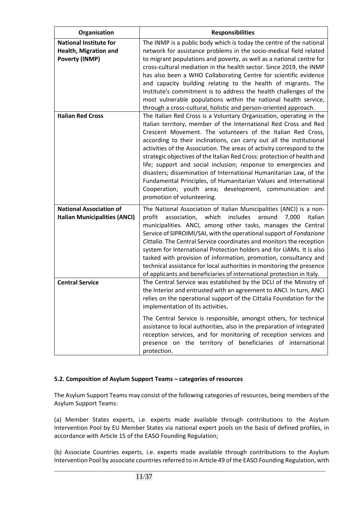| Organisation                                                                           | <b>Responsibilities</b>                                                                                                                                                                                                                                                                                                                                                                                                                                                                                                                                                                                                                                                                                                                   |
|----------------------------------------------------------------------------------------|-------------------------------------------------------------------------------------------------------------------------------------------------------------------------------------------------------------------------------------------------------------------------------------------------------------------------------------------------------------------------------------------------------------------------------------------------------------------------------------------------------------------------------------------------------------------------------------------------------------------------------------------------------------------------------------------------------------------------------------------|
| <b>National Institute for</b><br><b>Health, Migration and</b><br><b>Poverty (INMP)</b> | The INMP is a public body which is today the centre of the national<br>network for assistance problems in the socio-medical field related<br>to migrant populations and poverty, as well as a national centre for<br>cross-cultural mediation in the health sector. Since 2019, the INMP<br>has also been a WHO Collaborating Centre for scientific evidence<br>and capacity building relating to the health of migrants. The<br>Institute's commitment is to address the health challenges of the<br>most vulnerable populations within the national health service,<br>through a cross-cultural, holistic and person-oriented approach.                                                                                                 |
| <b>Italian Red Cross</b>                                                               | The Italian Red Cross is a Voluntary Organization, operating in the<br>Italian territory, member of the International Red Cross and Red<br>Crescent Movement. The volunteers of the Italian Red Cross,<br>according to their inclinations, can carry out all the institutional<br>activities of the Association. The areas of activity correspond to the<br>strategic objectives of the Italian Red Cross: protection of health and<br>life; support and social inclusion; response to emergencies and<br>disasters; dissemination of International Humanitarian Law, of the<br>Fundamental Principles, of Humanitarian Values and International<br>Cooperation; youth area; development, communication and<br>promotion of volunteering. |
| <b>National Association of</b><br><b>Italian Municipalities (ANCI)</b>                 | The National Association of Italian Municipalities (ANCI) is a non-<br>profit<br>which<br>includes<br>7,000<br>association,<br>around<br>Italian<br>municipalities. ANCI, among other tasks, manages the Central<br>Service of SIPROIMI/SAI, with the operational support of Fondazione<br>Cittalia. The Central Service coordinates and monitors the reception<br>system for International Protection holders and for UAMs. It is also<br>tasked with provision of information, promotion, consultancy and<br>technical assistance for local authorities in monitoring the presence<br>of applicants and beneficiaries of international protection in Italy.                                                                             |
| <b>Central Service</b>                                                                 | The Central Service was established by the DCLI of the Ministry of<br>the Interior and entrusted with an agreement to ANCI. In turn, ANCI<br>relies on the operational support of the Cittalia Foundation for the<br>implementation of its activities.<br>The Central Service is responsible, amongst others, for technical<br>assistance to local authorities, also in the preparation of integrated<br>reception services, and for monitoring of reception services and<br>presence on the territory of beneficiaries of international<br>protection.                                                                                                                                                                                   |

# **5.2. Composition of Asylum Support Teams – categories of resources**

The Asylum Support Teams may consist of the following categories of resources, being members of the Asylum Support Teams:

(a) Member States experts, i.e. experts made available through contributions to the Asylum Intervention Pool by EU Member States via national expert pools on the basis of defined profiles, in accordance with Article 15 of the EASO Founding Regulation;

(b) Associate Countries experts, i.e. experts made available through contributions to the Asylum Intervention Pool by associate countries referred to in Article 49 of the EASO Founding Regulation, with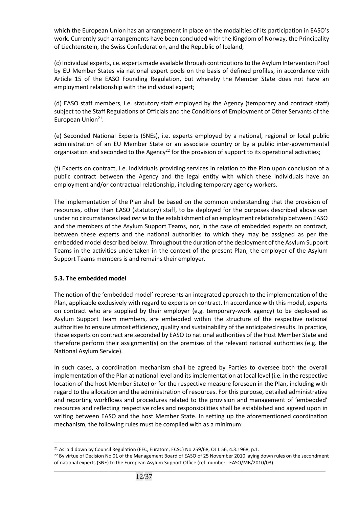which the European Union has an arrangement in place on the modalities of its participation in EASO's work. Currently such arrangements have been concluded with the Kingdom of Norway, the Principality of Liechtenstein, the Swiss Confederation, and the Republic of Iceland;

(c) Individual experts, i.e. experts made available through contributions to the Asylum Intervention Pool by EU Member States via national expert pools on the basis of defined profiles, in accordance with Article 15 of the EASO Founding Regulation, but whereby the Member State does not have an employment relationship with the individual expert;

(d) EASO staff members, i.e. statutory staff employed by the Agency (temporary and contract staff) subject to the Staff Regulations of Officials and the Conditions of Employment of Other Servants of the European Union<sup>21</sup>.

(e) Seconded National Experts (SNEs), i.e. experts employed by a national, regional or local public administration of an EU Member State or an associate country or by a public inter-governmental organisation and seconded to the Agency<sup>22</sup> for the provision of support to its operational activities;

(f) Experts on contract, i.e. individuals providing services in relation to the Plan upon conclusion of a public contract between the Agency and the legal entity with which these individuals have an employment and/or contractual relationship, including temporary agency workers.

The implementation of the Plan shall be based on the common understanding that the provision of resources, other than EASO (statutory) staff, to be deployed for the purposes described above can under no circumstances lead *per se* to the establishment of an employment relationship between EASO and the members of the Asylum Support Teams, nor, in the case of embedded experts on contract, between these experts and the national authorities to which they may be assigned as per the embedded model described below. Throughout the duration of the deployment of the Asylum Support Teams in the activities undertaken in the context of the present Plan, the employer of the Asylum Support Teams members is and remains their employer.

# **5.3. The embedded model**

 $\overline{a}$ 

The notion of the 'embedded model' represents an integrated approach to the implementation of the Plan, applicable exclusively with regard to experts on contract. In accordance with this model, experts on contract who are supplied by their employer (e.g. temporary-work agency) to be deployed as Asylum Support Team members, are embedded within the structure of the respective national authorities to ensure utmost efficiency, quality and sustainability of the anticipated results. In practice, those experts on contract are seconded by EASO to national authorities of the Host Member State and therefore perform their assignment(s) on the premises of the relevant national authorities (e.g. the National Asylum Service).

In such cases, a coordination mechanism shall be agreed by Parties to oversee both the overall implementation of the Plan at national level and its implementation at local level (i.e. in the respective location of the host Member State) or for the respective measure foreseen in the Plan, including with regard to the allocation and the administration of resources. For this purpose, detailed administrative and reporting workflows and procedures related to the provision and management of 'embedded' resources and reflecting respective roles and responsibilities shall be established and agreed upon in writing between EASO and the host Member State. In setting up the aforementioned coordination mechanism, the following rules must be complied with as a minimum:

<sup>&</sup>lt;sup>21</sup> As laid down by Council Regulation (EEC, Euratom, ECSC) No 259/68, OJ L 56, 4.3.1968, p.1.

\_\_\_\_\_\_\_\_\_\_\_\_\_\_\_\_\_\_\_\_\_\_\_\_\_\_\_\_\_\_\_\_\_\_\_\_\_\_\_\_\_\_\_\_\_\_\_\_\_\_\_\_\_\_\_\_\_\_\_\_\_\_\_\_\_\_\_\_\_\_\_\_\_\_\_\_\_\_\_\_\_\_\_\_\_\_\_\_\_\_\_\_\_\_\_\_\_\_\_\_ <sup>22</sup> By virtue of Decision No 01 of the Management Board of EASO of 25 November 2010 laying down rules on the secondment of national experts (SNE) to the European Asylum Support Office (ref. number: EASO/MB/2010/03).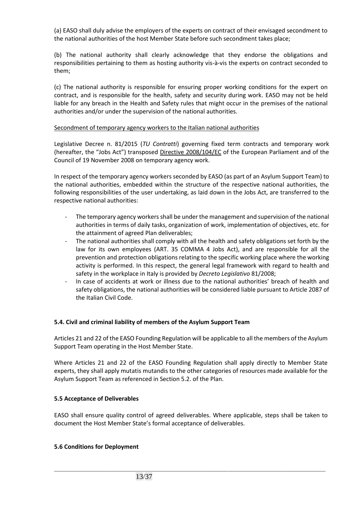(a) EASO shall duly advise the employers of the experts on contract of their envisaged secondment to the national authorities of the host Member State before such secondment takes place;

(b) The national authority shall clearly acknowledge that they endorse the obligations and responsibilities pertaining to them as hosting authority vis-à-vis the experts on contract seconded to them;

(c) The national authority is responsible for ensuring proper working conditions for the expert on contract, and is responsible for the health, safety and security during work. EASO may not be held liable for any breach in the Health and Safety rules that might occur in the premises of the national authorities and/or under the supervision of the national authorities.

#### Secondment of temporary agency workers to the Italian national authorities

Legislative Decree n. 81/2015 (*TU Contratti*) governing fixed term contracts and temporary work (hereafter, the "Jobs Act") transposed Directive 2008/104/EC of the European Parliament and of the Council of 19 November 2008 on temporary agency work.

In respect of the temporary agency workers seconded by EASO (as part of an Asylum Support Team) to the national authorities, embedded within the structure of the respective national authorities, the following responsibilities of the user undertaking, as laid down in the Jobs Act, are transferred to the respective national authorities:

- The temporary agency workers shall be under the management and supervision of the national authorities in terms of daily tasks, organization of work, implementation of objectives, etc. for the attainment of agreed Plan deliverables;
- The national authorities shall comply with all the health and safety obligations set forth by the law for its own employees (ART. 35 COMMA 4 Jobs Act), and are responsible for all the prevention and protection obligations relating to the specific working place where the working activity is performed. In this respect, the general legal framework with regard to health and safety in the workplace in Italy is provided by *Decreto Legislativo* 81/2008;
- In case of accidents at work or illness due to the national authorities' breach of health and safety obligations, the national authorities will be considered liable pursuant to Article 2087 of the Italian Civil Code.

# **5.4. Civil and criminal liability of members of the Asylum Support Team**

Articles 21 and 22 of the EASO Founding Regulation will be applicable to all the members of the Asylum Support Team operating in the Host Member State.

Where Articles 21 and 22 of the EASO Founding Regulation shall apply directly to Member State experts, they shall apply mutatis mutandis to the other categories of resources made available for the Asylum Support Team as referenced in Section 5.2. of the Plan.

# **5.5 Acceptance of Deliverables**

EASO shall ensure quality control of agreed deliverables. Where applicable, steps shall be taken to document the Host Member State's formal acceptance of deliverables.

\_\_\_\_\_\_\_\_\_\_\_\_\_\_\_\_\_\_\_\_\_\_\_\_\_\_\_\_\_\_\_\_\_\_\_\_\_\_\_\_\_\_\_\_\_\_\_\_\_\_\_\_\_\_\_\_\_\_\_\_\_\_\_\_\_\_\_\_\_\_\_\_\_\_\_\_\_\_\_\_\_\_\_\_\_\_\_\_\_\_\_\_\_\_\_\_\_\_\_\_

#### **5.6 Conditions for Deployment**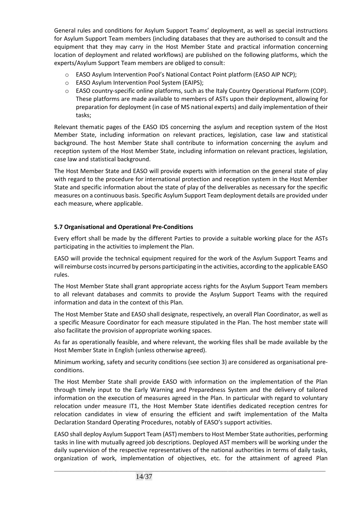General rules and conditions for Asylum Support Teams' deployment, as well as special instructions for Asylum Support Team members (including databases that they are authorised to consult and the equipment that they may carry in the Host Member State and practical information concerning location of deployment and related workflows) are published on the following platforms, which the experts/Asylum Support Team members are obliged to consult:

- o EASO Asylum Intervention Pool's National Contact Point platform (EASO AIP NCP);
- o EASO Asylum Intervention Pool System (EAIPS);
- $\circ$  EASO country-specific online platforms, such as the Italy Country Operational Platform (COP). These platforms are made available to members of ASTs upon their deployment, allowing for preparation for deployment (in case of MS national experts) and daily implementation of their tasks;

Relevant thematic pages of the EASO IDS concerning the asylum and reception system of the Host Member State, including information on relevant practices, legislation, case law and statistical background. The host Member State shall contribute to information concerning the asylum and reception system of the Host Member State, including information on relevant practices, legislation, case law and statistical background.

The Host Member State and EASO will provide experts with information on the general state of play with regard to the procedure for international protection and reception system in the Host Member State and specific information about the state of play of the deliverables as necessary for the specific measures on a continuous basis. Specific Asylum Support Team deployment details are provided under each measure, where applicable.

# **5.7 Organisational and Operational Pre-Conditions**

Every effort shall be made by the different Parties to provide a suitable working place for the ASTs participating in the activities to implement the Plan.

EASO will provide the technical equipment required for the work of the Asylum Support Teams and will reimburse costs incurred by persons participating in the activities, according to the applicable EASO rules.

The Host Member State shall grant appropriate access rights for the Asylum Support Team members to all relevant databases and commits to provide the Asylum Support Teams with the required information and data in the context of this Plan.

The Host Member State and EASO shall designate, respectively, an overall Plan Coordinator, as well as a specific Measure Coordinator for each measure stipulated in the Plan. The host member state will also facilitate the provision of appropriate working spaces.

As far as operationally feasible, and where relevant, the working files shall be made available by the Host Member State in English (unless otherwise agreed).

Minimum working, safety and security conditions (see section 3) are considered as organisational preconditions.

The Host Member State shall provide EASO with information on the implementation of the Plan through timely input to the Early Warning and Preparedness System and the delivery of tailored information on the execution of measures agreed in the Plan. In particular with regard to voluntary relocation under measure IT1, the Host Member State identifies dedicated reception centres for relocation candidates in view of ensuring the efficient and swift implementation of the Malta Declaration Standard Operating Procedures, notably of EASO's support activities.

EASO shall deploy Asylum Support Team (AST) members to Host Member State authorities, performing tasks in line with mutually agreed job descriptions. Deployed AST members will be working under the daily supervision of the respective representatives of the national authorities in terms of daily tasks, organization of work, implementation of objectives, etc. for the attainment of agreed Plan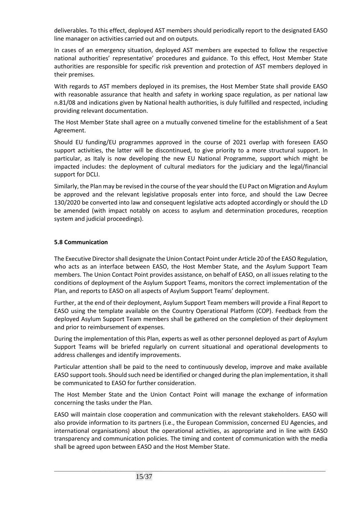deliverables. To this effect, deployed AST members should periodically report to the designated EASO line manager on activities carried out and on outputs.

In cases of an emergency situation, deployed AST members are expected to follow the respective national authorities' representative' procedures and guidance. To this effect, Host Member State authorities are responsible for specific risk prevention and protection of AST members deployed in their premises.

With regards to AST members deployed in its premises, the Host Member State shall provide EASO with reasonable assurance that health and safety in working space regulation, as per national law n.81/08 and indications given by National health authorities, is duly fulfilled and respected, including providing relevant documentation.

The Host Member State shall agree on a mutually convened timeline for the establishment of a Seat Agreement.

Should EU funding/EU programmes approved in the course of 2021 overlap with foreseen EASO support activities, the latter will be discontinued, to give priority to a more structural support. In particular, as Italy is now developing the new EU National Programme, support which might be impacted includes: the deployment of cultural mediators for the judiciary and the legal/financial support for DCLI.

Similarly, the Plan may be revised in the course of the year should the EU Pact on Migration and Asylum be approved and the relevant legislative proposals enter into force, and should the Law Decree 130/2020 be converted into law and consequent legislative acts adopted accordingly or should the LD be amended (with impact notably on access to asylum and determination procedures, reception system and judicial proceedings).

# **5.8 Communication**

The Executive Director shall designate the Union Contact Point under Article 20 of the EASO Regulation, who acts as an interface between EASO, the Host Member State, and the Asylum Support Team members. The Union Contact Point provides assistance, on behalf of EASO, on all issues relating to the conditions of deployment of the Asylum Support Teams, monitors the correct implementation of the Plan, and reports to EASO on all aspects of Asylum Support Teams' deployment.

Further, at the end of their deployment, Asylum Support Team members will provide a Final Report to EASO using the template available on the Country Operational Platform (COP). Feedback from the deployed Asylum Support Team members shall be gathered on the completion of their deployment and prior to reimbursement of expenses.

During the implementation of this Plan, experts as well as other personnel deployed as part of Asylum Support Teams will be briefed regularly on current situational and operational developments to address challenges and identify improvements.

Particular attention shall be paid to the need to continuously develop, improve and make available EASO support tools. Should such need be identified or changed during the plan implementation, it shall be communicated to EASO for further consideration.

The Host Member State and the Union Contact Point will manage the exchange of information concerning the tasks under the Plan.

EASO will maintain close cooperation and communication with the relevant stakeholders. EASO will also provide information to its partners (i.e., the European Commission, concerned EU Agencies, and international organisations) about the operational activities, as appropriate and in line with EASO transparency and communication policies. The timing and content of communication with the media shall be agreed upon between EASO and the Host Member State.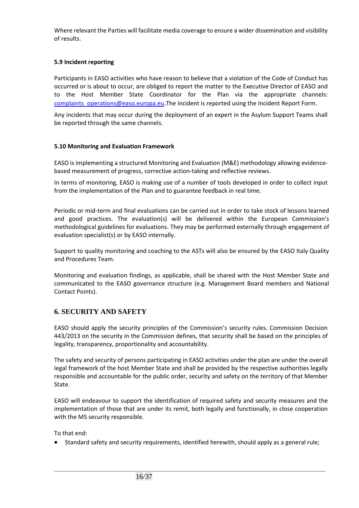Where relevant the Parties will facilitate media coverage to ensure a wider dissemination and visibility of results.

# **5.9 Incident reporting**

Participants in EASO activities who have reason to believe that a violation of the Code of Conduct has occurred or is about to occur, are obliged to report the matter to the Executive Director of EASO and to the Host Member State Coordinator for the Plan via the appropriate channels: [complaints\\_operations@easo.europa.eu](mailto:complaints_operations@easo.europa.eu).The incident is reported using the Incident Report Form.

Any incidents that may occur during the deployment of an expert in the Asylum Support Teams shall be reported through the same channels.

# **5.10 Monitoring and Evaluation Framework**

EASO is implementing a structured Monitoring and Evaluation (M&E) methodology allowing evidencebased measurement of progress, corrective action-taking and reflective reviews.

In terms of monitoring, EASO is making use of a number of tools developed in order to collect input from the implementation of the Plan and to guarantee feedback in real time.

Periodic or mid-term and final evaluations can be carried out in order to take stock of lessons learned and good practices. The evaluation(s) will be delivered within the European Commission's methodological guidelines for evaluations. They may be performed externally through engagement of evaluation specialist(s) or by EASO internally.

Support to quality monitoring and coaching to the ASTs will also be ensured by the EASO Italy Quality and Procedures Team.

Monitoring and evaluation findings, as applicable, shall be shared with the Host Member State and communicated to the EASO governance structure (e.g. Management Board members and National Contact Points).

# **6. SECURITY AND SAFETY**

EASO should apply the security principles of the Commission's security rules. Commission Decision 443/2013 on the security in the Commission defines, that security shall be based on the principles of legality, transparency, proportionality and accountability.

The safety and security of persons participating in EASO activities under the plan are under the overall legal framework of the host Member State and shall be provided by the respective authorities legally responsible and accountable for the public order, security and safety on the territory of that Member State.

EASO will endeavour to support the identification of required safety and security measures and the implementation of those that are under its remit, both legally and functionally, in close cooperation with the MS security responsible.

To that end:

• Standard safety and security requirements, identified herewith, should apply as a general rule;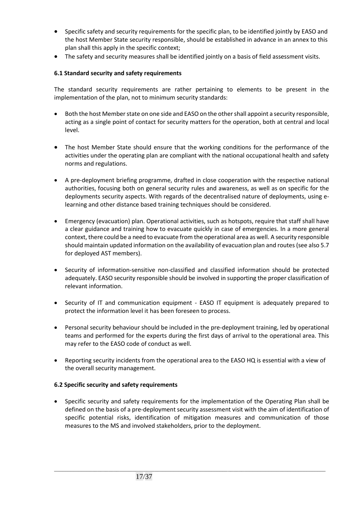- Specific safety and security requirements for the specific plan, to be identified jointly by EASO and the host Member State security responsible, should be established in advance in an annex to this plan shall this apply in the specific context;
- The safety and security measures shall be identified jointly on a basis of field assessment visits.

# **6.1 Standard security and safety requirements**

The standard security requirements are rather pertaining to elements to be present in the implementation of the plan, not to minimum security standards:

- Both the host Member state on one side and EASO on the other shall appoint a security responsible, acting as a single point of contact for security matters for the operation, both at central and local level.
- The host Member State should ensure that the working conditions for the performance of the activities under the operating plan are compliant with the national occupational health and safety norms and regulations.
- A pre-deployment briefing programme, drafted in close cooperation with the respective national authorities, focusing both on general security rules and awareness, as well as on specific for the deployments security aspects. With regards of the decentralised nature of deployments, using elearning and other distance based training techniques should be considered.
- Emergency (evacuation) plan. Operational activities, such as hotspots, require that staff shall have a clear guidance and training how to evacuate quickly in case of emergencies. In a more general context, there could be a need to evacuate from the operational area as well. A security responsible should maintain updated information on the availability of evacuation plan and routes (see also 5.7 for deployed AST members).
- Security of information-sensitive non-classified and classified information should be protected adequately. EASO security responsible should be involved in supporting the proper classification of relevant information.
- Security of IT and communication equipment EASO IT equipment is adequately prepared to protect the information level it has been foreseen to process.
- Personal security behaviour should be included in the pre-deployment training, led by operational teams and performed for the experts during the first days of arrival to the operational area. This may refer to the EASO code of conduct as well.
- Reporting security incidents from the operational area to the EASO HQ is essential with a view of the overall security management.

# **6.2 Specific security and safety requirements**

• Specific security and safety requirements for the implementation of the Operating Plan shall be defined on the basis of a pre-deployment security assessment visit with the aim of identification of specific potential risks, identification of mitigation measures and communication of those measures to the MS and involved stakeholders, prior to the deployment.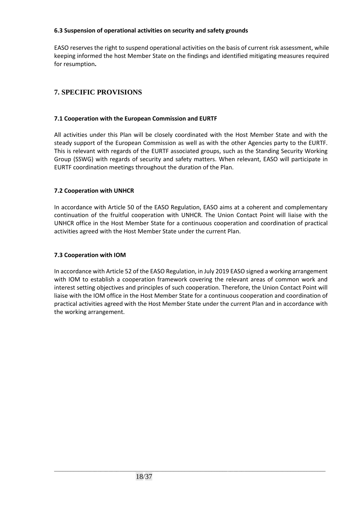# **6.3 Suspension of operational activities on security and safety grounds**

EASO reserves the right to suspend operational activities on the basis of current risk assessment, while keeping informed the host Member State on the findings and identified mitigating measures required for resumption**.**

# **7. SPECIFIC PROVISIONS**

# **7.1 Cooperation with the European Commission and EURTF**

All activities under this Plan will be closely coordinated with the Host Member State and with the steady support of the European Commission as well as with the other Agencies party to the EURTF. This is relevant with regards of the EURTF associated groups, such as the Standing Security Working Group (SSWG) with regards of security and safety matters. When relevant, EASO will participate in EURTF coordination meetings throughout the duration of the Plan.

# **7.2 Cooperation with UNHCR**

In accordance with Article 50 of the EASO Regulation, EASO aims at a coherent and complementary continuation of the fruitful cooperation with UNHCR. The Union Contact Point will liaise with the UNHCR office in the Host Member State for a continuous cooperation and coordination of practical activities agreed with the Host Member State under the current Plan.

# **7.3 Cooperation with IOM**

In accordance with Article 52 of the EASO Regulation, in July 2019 EASO signed a working arrangement with IOM to establish a cooperation framework covering the relevant areas of common work and interest setting objectives and principles of such cooperation. Therefore, the Union Contact Point will liaise with the IOM office in the Host Member State for a continuous cooperation and coordination of practical activities agreed with the Host Member State under the current Plan and in accordance with the working arrangement.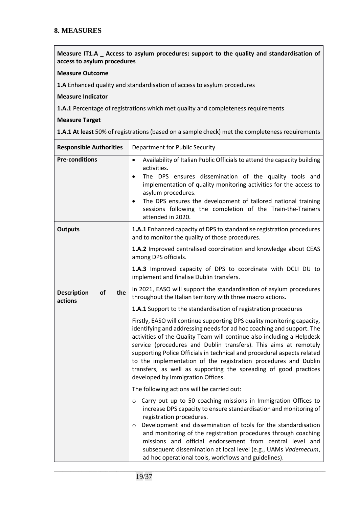# **8. MEASURES**

**Measure IT1.A \_ Access to asylum procedures: support to the quality and standardisation of access to asylum procedures**

#### **Measure Outcome**

**1.A** Enhanced quality and standardisation of access to asylum procedures

#### **Measure Indicator**

**1.A.1** Percentage of registrations which met quality and completeness requirements

#### **Measure Target**

**1.A.1 At least** 50% of registrations (based on a sample check) met the completeness requirements

| <b>Responsible Authorities</b>             | Department for Public Security                                                                                                                                                                                                                                                                                                                                                                                                                                                                                                                        |
|--------------------------------------------|-------------------------------------------------------------------------------------------------------------------------------------------------------------------------------------------------------------------------------------------------------------------------------------------------------------------------------------------------------------------------------------------------------------------------------------------------------------------------------------------------------------------------------------------------------|
| <b>Pre-conditions</b>                      | Availability of Italian Public Officials to attend the capacity building<br>$\bullet$<br>activities.<br>The DPS ensures dissemination of the quality tools and<br>$\bullet$<br>implementation of quality monitoring activities for the access to<br>asylum procedures.<br>The DPS ensures the development of tailored national training<br>$\bullet$<br>sessions following the completion of the Train-the-Trainers<br>attended in 2020.                                                                                                              |
| <b>Outputs</b>                             | <b>1.A.1</b> Enhanced capacity of DPS to standardise registration procedures<br>and to monitor the quality of those procedures.                                                                                                                                                                                                                                                                                                                                                                                                                       |
|                                            | 1.A.2 Improved centralised coordination and knowledge about CEAS<br>among DPS officials.                                                                                                                                                                                                                                                                                                                                                                                                                                                              |
|                                            | 1.A.3 Improved capacity of DPS to coordinate with DCLI DU to<br>implement and finalise Dublin transfers.                                                                                                                                                                                                                                                                                                                                                                                                                                              |
| <b>Description</b><br>of<br>the<br>actions | In 2021, EASO will support the standardisation of asylum procedures<br>throughout the Italian territory with three macro actions.                                                                                                                                                                                                                                                                                                                                                                                                                     |
|                                            | 1.A.1 Support to the standardisation of registration procedures                                                                                                                                                                                                                                                                                                                                                                                                                                                                                       |
|                                            | Firstly, EASO will continue supporting DPS quality monitoring capacity,<br>identifying and addressing needs for ad hoc coaching and support. The<br>activities of the Quality Team will continue also including a Helpdesk<br>service (procedures and Dublin transfers). This aims at remotely<br>supporting Police Officials in technical and procedural aspects related<br>to the implementation of the registration procedures and Dublin<br>transfers, as well as supporting the spreading of good practices<br>developed by Immigration Offices. |
|                                            | The following actions will be carried out:                                                                                                                                                                                                                                                                                                                                                                                                                                                                                                            |
|                                            | Carry out up to 50 coaching missions in Immigration Offices to<br>$\circ$<br>increase DPS capacity to ensure standardisation and monitoring of<br>registration procedures.<br>Development and dissemination of tools for the standardisation<br>O<br>and monitoring of the registration procedures through coaching<br>missions and official endorsement from central level and<br>subsequent dissemination at local level (e.g., UAMs Vademecum,<br>ad hoc operational tools, workflows and guidelines).                                             |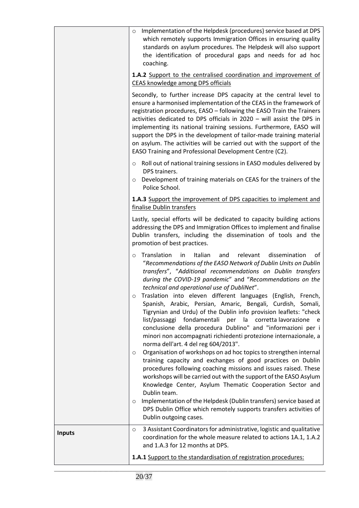|               | Implementation of the Helpdesk (procedures) service based at DPS<br>$\circ$<br>which remotely supports Immigration Offices in ensuring quality<br>standards on asylum procedures. The Helpdesk will also support<br>the identification of procedural gaps and needs for ad hoc<br>coaching.<br>1.A.2 Support to the centralised coordination and improvement of<br><b>CEAS knowledge among DPS officials</b><br>Secondly, to further increase DPS capacity at the central level to<br>ensure a harmonised implementation of the CEAS in the framework of                                                                                                                                                                                                                                                                                                                                                                                                                                                                                                                                                                                 |
|---------------|------------------------------------------------------------------------------------------------------------------------------------------------------------------------------------------------------------------------------------------------------------------------------------------------------------------------------------------------------------------------------------------------------------------------------------------------------------------------------------------------------------------------------------------------------------------------------------------------------------------------------------------------------------------------------------------------------------------------------------------------------------------------------------------------------------------------------------------------------------------------------------------------------------------------------------------------------------------------------------------------------------------------------------------------------------------------------------------------------------------------------------------|
|               | registration procedures, EASO - following the EASO Train the Trainers<br>activities dedicated to DPS officials in 2020 - will assist the DPS in<br>implementing its national training sessions. Furthermore, EASO will<br>support the DPS in the development of tailor-made training material<br>on asylum. The activities will be carried out with the support of the<br>EASO Training and Professional Development Centre (C2).                                                                                                                                                                                                                                                                                                                                                                                                                                                                                                                                                                                                                                                                                                        |
|               | Roll out of national training sessions in EASO modules delivered by<br>$\circ$<br>DPS trainers.<br>Development of training materials on CEAS for the trainers of the<br>$\circ$<br>Police School.                                                                                                                                                                                                                                                                                                                                                                                                                                                                                                                                                                                                                                                                                                                                                                                                                                                                                                                                        |
|               | 1.A.3 Support the improvement of DPS capacities to implement and<br>finalise Dublin transfers                                                                                                                                                                                                                                                                                                                                                                                                                                                                                                                                                                                                                                                                                                                                                                                                                                                                                                                                                                                                                                            |
|               | Lastly, special efforts will be dedicated to capacity building actions<br>addressing the DPS and Immigration Offices to implement and finalise<br>Dublin transfers, including the dissemination of tools and the<br>promotion of best practices.                                                                                                                                                                                                                                                                                                                                                                                                                                                                                                                                                                                                                                                                                                                                                                                                                                                                                         |
|               | Translation<br>Italian<br>relevant<br>dissemination<br>in<br>and<br>οf<br>$\circ$<br>"Recommendations of the EASO Network of Dublin Units on Dublin<br>transfers", "Additional recommendations on Dublin transfers<br>during the COVID-19 pandemic" and "Recommendations on the<br>technical and operational use of DubliNet".<br>o Traslation into eleven different languages (English, French,<br>Spanish, Arabic, Persian, Amaric, Bengali, Curdish, Somali,<br>Tigrynian and Urdu) of the Dublin info provision leaflets: "check<br>per la corretta lavorazione<br>list/passaggi<br>fondamentali<br>e<br>conclusione della procedura Dublino" and "informazioni per i<br>minori non accompagnati richiedenti protezione internazionale, a<br>norma dell'art. 4 del reg 604/2013".<br>Organisation of workshops on ad hoc topics to strengthen internal<br>$\circ$<br>training capacity and exchanges of good practices on Dublin<br>procedures following coaching missions and issues raised. These<br>workshops will be carried out with the support of the EASO Asylum<br>Knowledge Center, Asylum Thematic Cooperation Sector and |
|               | Dublin team.<br>Implementation of the Helpdesk (Dublin transfers) service based at<br>$\circ$<br>DPS Dublin Office which remotely supports transfers activities of<br>Dublin outgoing cases.                                                                                                                                                                                                                                                                                                                                                                                                                                                                                                                                                                                                                                                                                                                                                                                                                                                                                                                                             |
| <b>Inputs</b> | 3 Assistant Coordinators for administrative, logistic and qualitative<br>$\circ$<br>coordination for the whole measure related to actions 1A.1, 1.A.2<br>and 1.A.3 for 12 months at DPS.                                                                                                                                                                                                                                                                                                                                                                                                                                                                                                                                                                                                                                                                                                                                                                                                                                                                                                                                                 |
|               | 1.A.1 Support to the standardisation of registration procedures:                                                                                                                                                                                                                                                                                                                                                                                                                                                                                                                                                                                                                                                                                                                                                                                                                                                                                                                                                                                                                                                                         |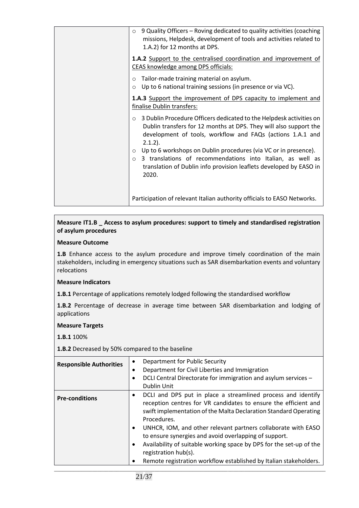| 9 Quality Officers - Roving dedicated to quality activities (coaching<br>$\circ$<br>missions, Helpdesk, development of tools and activities related to<br>1.A.2) for 12 months at DPS.                                             |
|------------------------------------------------------------------------------------------------------------------------------------------------------------------------------------------------------------------------------------|
| 1.A.2 Support to the centralised coordination and improvement of<br>CEAS knowledge among DPS officials:                                                                                                                            |
| Tailor-made training material on asylum.<br>$\circ$<br>Up to 6 national training sessions (in presence or via VC).<br>$\circ$                                                                                                      |
| <b>1.A.3</b> Support the improvement of DPS capacity to implement and<br>finalise Dublin transfers:                                                                                                                                |
| 3 Dublin Procedure Officers dedicated to the Helpdesk activities on<br>$\circ$<br>Dublin transfers for 12 months at DPS. They will also support the<br>development of tools, workflow and FAQs (actions 1.A.1 and<br>$2.1.2$ ).    |
| Up to 6 workshops on Dublin procedures (via VC or in presence).<br>$\circ$<br>3 translations of recommendations into Italian, as well as<br>$\circ$<br>translation of Dublin info provision leaflets developed by EASO in<br>2020. |
| Participation of relevant Italian authority officials to EASO Networks.                                                                                                                                                            |

# **Measure IT1.B \_ Access to asylum procedures: support to timely and standardised registration of asylum procedures**

# **Measure Outcome**

**1.B** Enhance access to the asylum procedure and improve timely coordination of the main stakeholders, including in emergency situations such as SAR disembarkation events and voluntary relocations

# **Measure Indicators**

**1.B.1** Percentage of applications remotely lodged following the standardised workflow

**1.B.2** Percentage of decrease in average time between SAR disembarkation and lodging of applications

#### **Measure Targets**

#### **1.B.1** 100%

**1.B.2** Decreased by 50% compared to the baseline

| <b>Responsible Authorities</b> | Department for Public Security<br>$\bullet$<br>Department for Civil Liberties and Immigration<br>$\bullet$<br>DCLI Central Directorate for immigration and asylum services -<br>Dublin Unit                                                                                                                                                                                                                                                                                                                                   |
|--------------------------------|-------------------------------------------------------------------------------------------------------------------------------------------------------------------------------------------------------------------------------------------------------------------------------------------------------------------------------------------------------------------------------------------------------------------------------------------------------------------------------------------------------------------------------|
| <b>Pre-conditions</b>          | DCLI and DPS put in place a streamlined process and identify<br>$\bullet$<br>reception centres for VR candidates to ensure the efficient and<br>swift implementation of the Malta Declaration Standard Operating<br>Procedures.<br>UNHCR, IOM, and other relevant partners collaborate with EASO<br>to ensure synergies and avoid overlapping of support.<br>Availability of suitable working space by DPS for the set-up of the<br>registration hub(s).<br>Remote registration workflow established by Italian stakeholders. |
|                                |                                                                                                                                                                                                                                                                                                                                                                                                                                                                                                                               |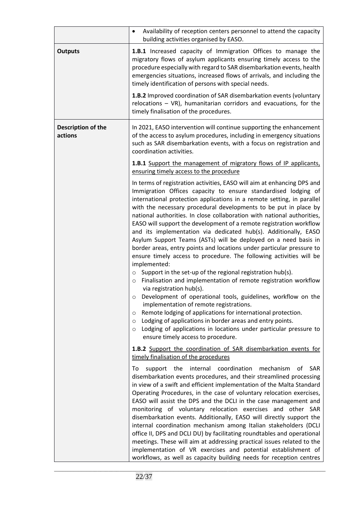|                               | Availability of reception centers personnel to attend the capacity<br>$\bullet$<br>building activities organised by EASO.                                                                                                                                                                                                                                                                                                                                                                                                                                                                                                                                                                                                                                                                                                                                                                                                                                                                                                                                                                                                                                                                                                                                                                                         |
|-------------------------------|-------------------------------------------------------------------------------------------------------------------------------------------------------------------------------------------------------------------------------------------------------------------------------------------------------------------------------------------------------------------------------------------------------------------------------------------------------------------------------------------------------------------------------------------------------------------------------------------------------------------------------------------------------------------------------------------------------------------------------------------------------------------------------------------------------------------------------------------------------------------------------------------------------------------------------------------------------------------------------------------------------------------------------------------------------------------------------------------------------------------------------------------------------------------------------------------------------------------------------------------------------------------------------------------------------------------|
| <b>Outputs</b>                | 1.B.1 Increased capacity of Immigration Offices to manage the<br>migratory flows of asylum applicants ensuring timely access to the<br>procedure especially with regard to SAR disembarkation events, health<br>emergencies situations, increased flows of arrivals, and including the<br>timely identification of persons with special needs.                                                                                                                                                                                                                                                                                                                                                                                                                                                                                                                                                                                                                                                                                                                                                                                                                                                                                                                                                                    |
|                               | <b>1.B.2</b> Improved coordination of SAR disembarkation events (voluntary<br>relocations $-$ VR), humanitarian corridors and evacuations, for the<br>timely finalisation of the procedures.                                                                                                                                                                                                                                                                                                                                                                                                                                                                                                                                                                                                                                                                                                                                                                                                                                                                                                                                                                                                                                                                                                                      |
| Description of the<br>actions | In 2021, EASO intervention will continue supporting the enhancement<br>of the access to asylum procedures, including in emergency situations<br>such as SAR disembarkation events, with a focus on registration and<br>coordination activities.                                                                                                                                                                                                                                                                                                                                                                                                                                                                                                                                                                                                                                                                                                                                                                                                                                                                                                                                                                                                                                                                   |
|                               | 1.B.1 Support the management of migratory flows of IP applicants,<br>ensuring timely access to the procedure                                                                                                                                                                                                                                                                                                                                                                                                                                                                                                                                                                                                                                                                                                                                                                                                                                                                                                                                                                                                                                                                                                                                                                                                      |
|                               | In terms of registration activities, EASO will aim at enhancing DPS and<br>Immigration Offices capacity to ensure standardised lodging of<br>international protection applications in a remote setting, in parallel<br>with the necessary procedural developments to be put in place by<br>national authorities. In close collaboration with national authorities,<br>EASO will support the development of a remote registration workflow<br>and its implementation via dedicated hub(s). Additionally, EASO<br>Asylum Support Teams (ASTs) will be deployed on a need basis in<br>border areas, entry points and locations under particular pressure to<br>ensure timely access to procedure. The following activities will be<br>implemented:<br>Support in the set-up of the regional registration hub(s).<br>$\circ$<br>Finalisation and implementation of remote registration workflow<br>$\circ$<br>via registration hub(s).<br>Development of operational tools, guidelines, workflow on the<br>implementation of remote registrations.<br>Remote lodging of applications for international protection.<br>O<br>Lodging of applications in border areas and entry points.<br>$\circ$<br>Lodging of applications in locations under particular pressure to<br>$\circ$<br>ensure timely access to procedure. |
|                               | 1.B.2 Support the coordination of SAR disembarkation events for<br>timely finalisation of the procedures                                                                                                                                                                                                                                                                                                                                                                                                                                                                                                                                                                                                                                                                                                                                                                                                                                                                                                                                                                                                                                                                                                                                                                                                          |
|                               | internal coordination<br>support the<br>mechanism<br>οf<br><b>SAR</b><br>To<br>disembarkation events procedures, and their streamlined processing<br>in view of a swift and efficient implementation of the Malta Standard<br>Operating Procedures, in the case of voluntary relocation exercises,<br>EASO will assist the DPS and the DCLI in the case management and<br>monitoring of voluntary relocation exercises and other SAR<br>disembarkation events. Additionally, EASO will directly support the<br>internal coordination mechanism among Italian stakeholders (DCLI<br>office II, DPS and DCLI DU) by facilitating roundtables and operational<br>meetings. These will aim at addressing practical issues related to the<br>implementation of VR exercises and potential establishment of<br>workflows, as well as capacity building needs for reception centres                                                                                                                                                                                                                                                                                                                                                                                                                                      |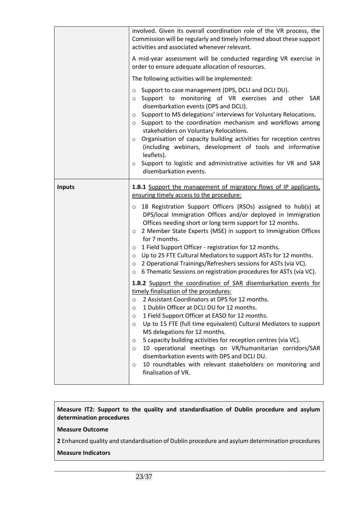|               | involved. Given its overall coordination role of the VR process, the<br>Commission will be regularly and timely informed about these support<br>activities and associated whenever relevant.<br>A mid-year assessment will be conducted regarding VR exercise in<br>order to ensure adequate allocation of resources.<br>The following activities will be implemented:<br>Support to case management (DPS, DCLI and DCLI DU).<br>$\circ$<br>o Support to monitoring of VR exercises and other SAR<br>disembarkation events (DPS and DCLI).<br>Support to MS delegations' interviews for Voluntary Relocations.<br>$\circ$<br>Support to the coordination mechanism and workflows among<br>$\circ$<br>stakeholders on Voluntary Relocations.<br>Organisation of capacity building activities for reception centres<br>$\circ$<br>(including webinars, development of tools and informative<br>leaflets).<br>Support to logistic and administrative activities for VR and SAR<br>$\circ$<br>disembarkation events.                                                                                                                                                                                                                                                                                                                                                                                                                            |
|---------------|---------------------------------------------------------------------------------------------------------------------------------------------------------------------------------------------------------------------------------------------------------------------------------------------------------------------------------------------------------------------------------------------------------------------------------------------------------------------------------------------------------------------------------------------------------------------------------------------------------------------------------------------------------------------------------------------------------------------------------------------------------------------------------------------------------------------------------------------------------------------------------------------------------------------------------------------------------------------------------------------------------------------------------------------------------------------------------------------------------------------------------------------------------------------------------------------------------------------------------------------------------------------------------------------------------------------------------------------------------------------------------------------------------------------------------------------|
| <b>Inputs</b> | 1.B.1 Support the management of migratory flows of IP applicants,<br>ensuring timely access to the procedure:<br>18 Registration Support Officers (RSOs) assigned to hub(s) at<br>$\circ$<br>DPS/local Immigration Offices and/or deployed in Immigration<br>Offices needing short or long term support for 12 months.<br>2 Member State Experts (MSE) in support to Immigration Offices<br>$\circ$<br>for 7 months.<br>1 Field Support Officer - registration for 12 months.<br>$\circ$<br>Up to 25 FTE Cultural Mediators to support ASTs for 12 months.<br>$\circ$<br>2 Operational Trainings/Refreshers sessions for ASTs (via VC).<br>$\circ$<br>6 Thematic Sessions on registration procedures for ASTs (via VC).<br>$\circ$<br>1.B.2 Support the coordination of SAR disembarkation events for<br>timely finalisation of the procedures:<br>2 Assistant Coordinators at DPS for 12 months.<br>$\circ$<br>1 Dublin Officer at DCLI DU for 12 months.<br>$\circ$<br>1 Field Support Officer at EASO for 12 months.<br>O<br>Up to 15 FTE (full time equivalent) Cultural Mediators to support<br>$\circ$<br>MS delegations for 12 months.<br>5 capacity building activities for reception centres (via VC).<br>O<br>10 operational meetings on VR/humanitarian corridors/SAR<br>$\circ$<br>disembarkation events with DPS and DCLI DU.<br>10 roundtables with relevant stakeholders on monitoring and<br>$\circ$<br>finalisation of VR. |

# **Measure IT2: Support to the quality and standardisation of Dublin procedure and asylum determination procedures**

# **Measure Outcome**

**2** Enhanced quality and standardisation of Dublin procedure and asylum determination procedures

\_\_\_\_\_\_\_\_\_\_\_\_\_\_\_\_\_\_\_\_\_\_\_\_\_\_\_\_\_\_\_\_\_\_\_\_\_\_\_\_\_\_\_\_\_\_\_\_\_\_\_\_\_\_\_\_\_\_\_\_\_\_\_\_\_\_\_\_\_\_\_\_\_\_\_\_\_\_\_\_\_\_\_\_\_\_\_\_\_\_\_\_\_\_\_\_\_\_\_\_

# **Measure Indicators**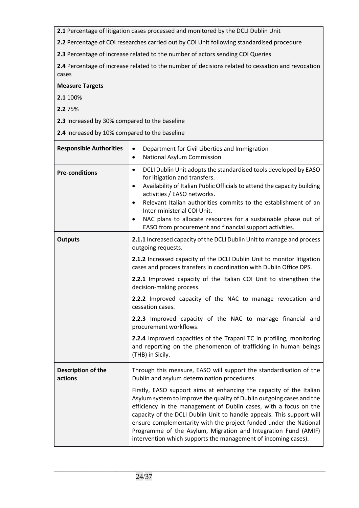**2.1** Percentage of litigation cases processed and monitored by the DCLI Dublin Unit

**2.2** Percentage of COI researches carried out by COI Unit following standardised procedure

**2.3** Percentage of increase related to the number of actors sending COI Queries

**2.4** Percentage of increase related to the number of decisions related to cessation and revocation cases

# **Measure Targets**

**2.1** 100%

**2.2** 75%

**2.3** Increased by 30% compared to the baseline

**2.4** Increased by 10% compared to the baseline

| <b>Responsible Authorities</b> | Department for Civil Liberties and Immigration<br>$\bullet$<br>National Asylum Commission<br>$\bullet$                                                                                                                                                                                                                                                                                                                                                                                              |
|--------------------------------|-----------------------------------------------------------------------------------------------------------------------------------------------------------------------------------------------------------------------------------------------------------------------------------------------------------------------------------------------------------------------------------------------------------------------------------------------------------------------------------------------------|
| <b>Pre-conditions</b>          | DCLI Dublin Unit adopts the standardised tools developed by EASO<br>$\bullet$<br>for litigation and transfers.<br>Availability of Italian Public Officials to attend the capacity building<br>$\bullet$<br>activities / EASO networks.<br>Relevant Italian authorities commits to the establishment of an<br>$\bullet$<br>Inter-ministerial COI Unit.<br>NAC plans to allocate resources for a sustainable phase out of<br>$\bullet$<br>EASO from procurement and financial support activities.     |
| <b>Outputs</b>                 | 2.1.1 Increased capacity of the DCLI Dublin Unit to manage and process<br>outgoing requests.                                                                                                                                                                                                                                                                                                                                                                                                        |
|                                | 2.1.2 Increased capacity of the DCLI Dublin Unit to monitor litigation<br>cases and process transfers in coordination with Dublin Office DPS.                                                                                                                                                                                                                                                                                                                                                       |
|                                | 2.2.1 Improved capacity of the Italian COI Unit to strengthen the<br>decision-making process.                                                                                                                                                                                                                                                                                                                                                                                                       |
|                                | 2.2.2 Improved capacity of the NAC to manage revocation and<br>cessation cases.                                                                                                                                                                                                                                                                                                                                                                                                                     |
|                                | 2.2.3 Improved capacity of the NAC to manage financial and<br>procurement workflows.                                                                                                                                                                                                                                                                                                                                                                                                                |
|                                | 2.2.4 Improved capacities of the Trapani TC in profiling, monitoring<br>and reporting on the phenomenon of trafficking in human beings<br>(THB) in Sicily.                                                                                                                                                                                                                                                                                                                                          |
| Description of the<br>actions  | Through this measure, EASO will support the standardisation of the<br>Dublin and asylum determination procedures.                                                                                                                                                                                                                                                                                                                                                                                   |
|                                | Firstly, EASO support aims at enhancing the capacity of the Italian<br>Asylum system to improve the quality of Dublin outgoing cases and the<br>efficiency in the management of Dublin cases, with a focus on the<br>capacity of the DCLI Dublin Unit to handle appeals. This support will<br>ensure complementarity with the project funded under the National<br>Programme of the Asylum, Migration and Integration Fund (AMIF)<br>intervention which supports the management of incoming cases). |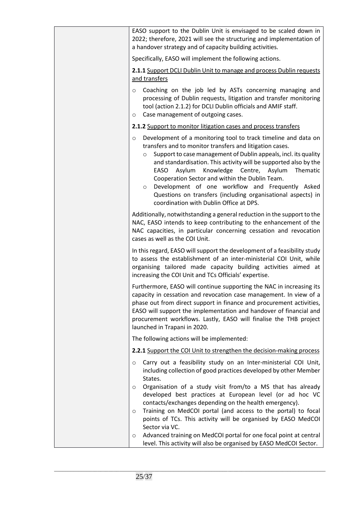| EASO support to the Dublin Unit is envisaged to be scaled down in<br>2022; therefore, 2021 will see the structuring and implementation of<br>a handover strategy and of capacity building activities.                                                                                                                                                                                                                                                                                                                                                                         |
|-------------------------------------------------------------------------------------------------------------------------------------------------------------------------------------------------------------------------------------------------------------------------------------------------------------------------------------------------------------------------------------------------------------------------------------------------------------------------------------------------------------------------------------------------------------------------------|
| Specifically, EASO will implement the following actions.                                                                                                                                                                                                                                                                                                                                                                                                                                                                                                                      |
| 2.1.1 Support DCLI Dublin Unit to manage and process Dublin requests<br>and transfers                                                                                                                                                                                                                                                                                                                                                                                                                                                                                         |
| Coaching on the job led by ASTs concerning managing and<br>$\circ$<br>processing of Dublin requests, litigation and transfer monitoring<br>tool (action 2.1.2) for DCLI Dublin officials and AMIF staff.<br>Case management of outgoing cases.<br>O                                                                                                                                                                                                                                                                                                                           |
| 2.1.2 Support to monitor litigation cases and process transfers                                                                                                                                                                                                                                                                                                                                                                                                                                                                                                               |
| Development of a monitoring tool to track timeline and data on<br>$\circ$<br>transfers and to monitor transfers and litigation cases.<br>Support to case management of Dublin appeals, incl. its quality<br>$\circ$<br>and standardisation. This activity will be supported also by the<br>Asylum<br>Knowledge Centre, Asylum<br>EASO<br>Thematic<br>Cooperation Sector and within the Dublin Team.<br>Development of one workflow and Frequently Asked<br>$\circ$<br>Questions on transfers (including organisational aspects) in<br>coordination with Dublin Office at DPS. |
| Additionally, notwithstanding a general reduction in the support to the<br>NAC, EASO intends to keep contributing to the enhancement of the<br>NAC capacities, in particular concerning cessation and revocation<br>cases as well as the COI Unit.                                                                                                                                                                                                                                                                                                                            |
| In this regard, EASO will support the development of a feasibility study<br>to assess the establishment of an inter-ministerial COI Unit, while<br>organising tailored made capacity building activities aimed at<br>increasing the COI Unit and TCs Officials' expertise.                                                                                                                                                                                                                                                                                                    |
| Furthermore, EASO will continue supporting the NAC in increasing its<br>capacity in cessation and revocation case management. In view of a<br>phase out from direct support in finance and procurement activities,<br>EASO will support the implementation and handover of financial and<br>procurement workflows. Lastly, EASO will finalise the THB project<br>launched in Trapani in 2020.                                                                                                                                                                                 |
| The following actions will be implemented:                                                                                                                                                                                                                                                                                                                                                                                                                                                                                                                                    |
| 2.2.1 Support the COI Unit to strengthen the decision-making process                                                                                                                                                                                                                                                                                                                                                                                                                                                                                                          |
| Carry out a feasibility study on an Inter-ministerial COI Unit,<br>$\circ$<br>including collection of good practices developed by other Member<br>States.                                                                                                                                                                                                                                                                                                                                                                                                                     |
| Organisation of a study visit from/to a MS that has already<br>O<br>developed best practices at European level (or ad hoc VC<br>contacts/exchanges depending on the health emergency).<br>Training on MedCOI portal (and access to the portal) to focal<br>$\circ$<br>points of TCs. This activity will be organised by EASO MedCOI<br>Sector via VC.                                                                                                                                                                                                                         |
| Advanced training on MedCOI portal for one focal point at central<br>O<br>level. This activity will also be organised by EASO MedCOI Sector.                                                                                                                                                                                                                                                                                                                                                                                                                                  |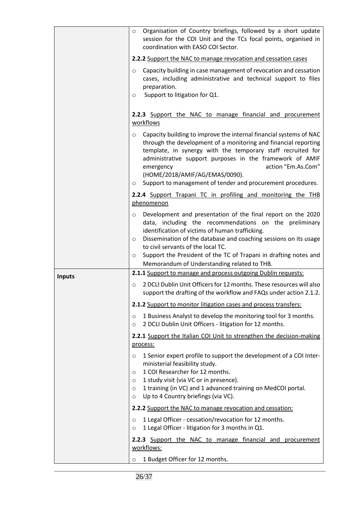|               | Organisation of Country briefings, followed by a short update<br>$\circ$<br>session for the COI Unit and the TCs focal points, organised in<br>coordination with EASO COI Sector.                                                                                                                                                                                                                                                       |
|---------------|-----------------------------------------------------------------------------------------------------------------------------------------------------------------------------------------------------------------------------------------------------------------------------------------------------------------------------------------------------------------------------------------------------------------------------------------|
|               | 2.2.2 Support the NAC to manage revocation and cessation cases                                                                                                                                                                                                                                                                                                                                                                          |
|               | Capacity building in case management of revocation and cessation<br>$\circ$<br>cases, including administrative and technical support to files<br>preparation.<br>Support to litigation for Q1.<br>O                                                                                                                                                                                                                                     |
|               | 2.2.3 Support the NAC to manage financial and procurement<br>workflows                                                                                                                                                                                                                                                                                                                                                                  |
|               | Capacity building to improve the internal financial systems of NAC<br>$\circ$<br>through the development of a monitoring and financial reporting<br>template, in synergy with the temporary staff recruited for<br>administrative support purposes in the framework of AMIF<br>action "Em.As.Com"<br>emergency<br>(HOME/2018/AMIF/AG/EMAS/0090).<br>Support to management of tender and procurement procedures.<br>O                    |
|               | 2.2.4 Support Trapani TC in profiling and monitoring the THB<br>phenomenon                                                                                                                                                                                                                                                                                                                                                              |
|               | Development and presentation of the final report on the 2020<br>$\circ$<br>data, including the recommendations on the preliminary<br>identification of victims of human trafficking.<br>Dissemination of the database and coaching sessions on its usage<br>$\circ$<br>to civil servants of the local TC.<br>Support the President of the TC of Trapani in drafting notes and<br>$\circ$<br>Memorandum of Understanding related to THB. |
| <b>Inputs</b> | 2.1.1 Support to manage and process outgoing Dublin requests:                                                                                                                                                                                                                                                                                                                                                                           |
|               | 2 DCLI Dublin Unit Officers for 12 months. These resources will also<br>$\circ$<br>support the drafting of the workflow and FAQs under action 2.1.2.                                                                                                                                                                                                                                                                                    |
|               | 2.1.2 Support to monitor litigation cases and process transfers:                                                                                                                                                                                                                                                                                                                                                                        |
|               | 1 Business Analyst to develop the monitoring tool for 3 months.<br>$\circ$<br>2 DCLI Dublin Unit Officers - litigation for 12 months.<br>$\circ$                                                                                                                                                                                                                                                                                        |
|               | 2.2.1 Support the Italian COI Unit to strengthen the decision-making<br>process:                                                                                                                                                                                                                                                                                                                                                        |
|               | 1 Senior expert profile to support the development of a COI Inter-<br>$\circ$<br>ministerial feasibility study.<br>1 COI Researcher for 12 months.<br>$\circ$<br>1 study visit (via VC or in presence).<br>$\circ$<br>1 training (in VC) and 1 advanced training on MedCOI portal.<br>$\circ$<br>Up to 4 Country briefings (via VC).<br>$\circ$                                                                                         |
|               | 2.2.2 Support the NAC to manage revocation and cessation:                                                                                                                                                                                                                                                                                                                                                                               |
|               | 1 Legal Officer - cessation/revocation for 12 months.<br>$\circ$<br>1 Legal Officer - litigation for 3 months in Q1.<br>$\circ$                                                                                                                                                                                                                                                                                                         |
|               | 2.2.3 Support the NAC to manage financial and procurement<br>workflows:                                                                                                                                                                                                                                                                                                                                                                 |
|               | 1 Budget Officer for 12 months.<br>O                                                                                                                                                                                                                                                                                                                                                                                                    |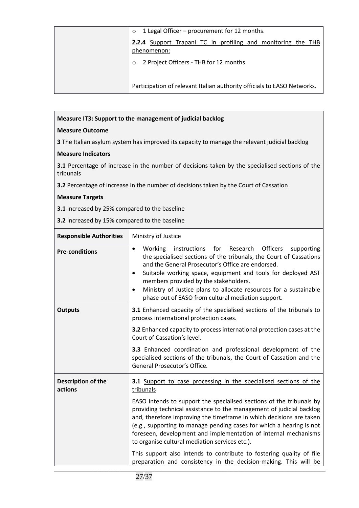| 1 Legal Officer – procurement for 12 months.<br>$\circ$                     |
|-----------------------------------------------------------------------------|
| 2.2.4 Support Trapani TC in profiling and monitoring the THB<br>phenomenon: |
| 2 Project Officers - THB for 12 months.<br>$\Omega$                         |
| Participation of relevant Italian authority officials to EASO Networks.     |

# **Measure IT3: Support to the management of judicial backlog**

# **Measure Outcome**

**3** The Italian asylum system has improved its capacity to manage the relevant judicial backlog

# **Measure Indicators**

**3.1** Percentage of increase in the number of decisions taken by the specialised sections of the tribunals

**3.2** Percentage of increase in the number of decisions taken by the Court of Cassation

# **Measure Targets**

**3.1** Increased by 25% compared to the baseline

**3.2** Increased by 15% compared to the baseline

| <b>Responsible Authorities</b> | Ministry of Justice                                                                                                                                                                                                                                                                                                                                                                                                                                                     |
|--------------------------------|-------------------------------------------------------------------------------------------------------------------------------------------------------------------------------------------------------------------------------------------------------------------------------------------------------------------------------------------------------------------------------------------------------------------------------------------------------------------------|
| <b>Pre-conditions</b>          | $\bullet$<br>instructions<br>for<br>Research Officers<br>Working<br>supporting<br>the specialised sections of the tribunals, the Court of Cassations<br>and the General Prosecutor's Office are endorsed.<br>Suitable working space, equipment and tools for deployed AST<br>$\bullet$<br>members provided by the stakeholders.<br>Ministry of Justice plans to allocate resources for a sustainable<br>$\bullet$<br>phase out of EASO from cultural mediation support. |
| <b>Outputs</b>                 | 3.1 Enhanced capacity of the specialised sections of the tribunals to<br>process international protection cases.                                                                                                                                                                                                                                                                                                                                                        |
|                                | 3.2 Enhanced capacity to process international protection cases at the<br>Court of Cassation's level.                                                                                                                                                                                                                                                                                                                                                                   |
|                                | 3.3 Enhanced coordination and professional development of the<br>specialised sections of the tribunals, the Court of Cassation and the<br>General Prosecutor's Office.                                                                                                                                                                                                                                                                                                  |
| Description of the<br>actions  | 3.1 Support to case processing in the specialised sections of the<br>tribunals                                                                                                                                                                                                                                                                                                                                                                                          |
|                                | EASO intends to support the specialised sections of the tribunals by<br>providing technical assistance to the management of judicial backlog<br>and, therefore improving the timeframe in which decisions are taken<br>(e.g., supporting to manage pending cases for which a hearing is not<br>foreseen, development and implementation of internal mechanisms<br>to organise cultural mediation services etc.).                                                        |
|                                | This support also intends to contribute to fostering quality of file<br>preparation and consistency in the decision-making. This will be                                                                                                                                                                                                                                                                                                                                |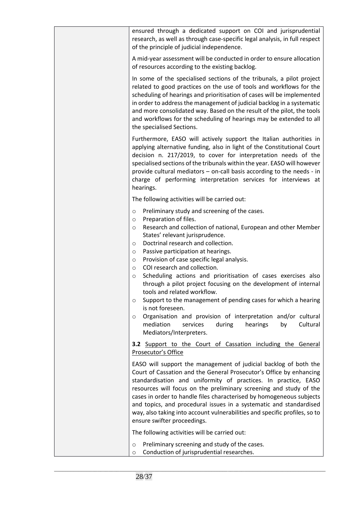| ensured through a dedicated support on COI and jurisprudential<br>research, as well as through case-specific legal analysis, in full respect<br>of the principle of judicial independence.                                                                                                                                                                                                                                                                                                                                                                                                                                                                                                                                                                                                                                                                         |
|--------------------------------------------------------------------------------------------------------------------------------------------------------------------------------------------------------------------------------------------------------------------------------------------------------------------------------------------------------------------------------------------------------------------------------------------------------------------------------------------------------------------------------------------------------------------------------------------------------------------------------------------------------------------------------------------------------------------------------------------------------------------------------------------------------------------------------------------------------------------|
| A mid-year assessment will be conducted in order to ensure allocation<br>of resources according to the existing backlog.                                                                                                                                                                                                                                                                                                                                                                                                                                                                                                                                                                                                                                                                                                                                           |
| In some of the specialised sections of the tribunals, a pilot project<br>related to good practices on the use of tools and workflows for the<br>scheduling of hearings and prioritisation of cases will be implemented<br>in order to address the management of judicial backlog in a systematic<br>and more consolidated way. Based on the result of the pilot, the tools<br>and workflows for the scheduling of hearings may be extended to all<br>the specialised Sections.                                                                                                                                                                                                                                                                                                                                                                                     |
| Furthermore, EASO will actively support the Italian authorities in<br>applying alternative funding, also in light of the Constitutional Court<br>decision n. 217/2019, to cover for interpretation needs of the<br>specialised sections of the tribunals within the year. EASO will however<br>provide cultural mediators - on-call basis according to the needs - in<br>charge of performing interpretation services for interviews at<br>hearings.                                                                                                                                                                                                                                                                                                                                                                                                               |
| The following activities will be carried out:                                                                                                                                                                                                                                                                                                                                                                                                                                                                                                                                                                                                                                                                                                                                                                                                                      |
| Preliminary study and screening of the cases.<br>$\circ$<br>Preparation of files.<br>$\circ$<br>Research and collection of national, European and other Member<br>$\circ$<br>States' relevant jurisprudence.<br>Doctrinal research and collection.<br>$\circ$<br>Passive participation at hearings.<br>$\circ$<br>Provision of case specific legal analysis.<br>$\circ$<br>COI research and collection.<br>$\circ$<br>Scheduling actions and prioritisation of cases exercises also<br>$\circ$<br>through a pilot project focusing on the development of internal<br>tools and related workflow.<br>Support to the management of pending cases for which a hearing<br>O<br>is not foreseen.<br>Organisation and provision of interpretation and/or cultural<br>$\circ$<br>mediation<br>services<br>during<br>hearings<br>Cultural<br>by<br>Mediators/Interpreters. |
| 3.2 Support to the Court of Cassation including the General<br>Prosecutor's Office                                                                                                                                                                                                                                                                                                                                                                                                                                                                                                                                                                                                                                                                                                                                                                                 |
| EASO will support the management of judicial backlog of both the<br>Court of Cassation and the General Prosecutor's Office by enhancing<br>standardisation and uniformity of practices. In practice, EASO<br>resources will focus on the preliminary screening and study of the<br>cases in order to handle files characterised by homogeneous subjects<br>and topics, and procedural issues in a systematic and standardised<br>way, also taking into account vulnerabilities and specific profiles, so to<br>ensure swifter proceedings.                                                                                                                                                                                                                                                                                                                         |
| The following activities will be carried out:                                                                                                                                                                                                                                                                                                                                                                                                                                                                                                                                                                                                                                                                                                                                                                                                                      |
| Preliminary screening and study of the cases.<br>$\circ$<br>Conduction of jurisprudential researches.<br>$\circ$                                                                                                                                                                                                                                                                                                                                                                                                                                                                                                                                                                                                                                                                                                                                                   |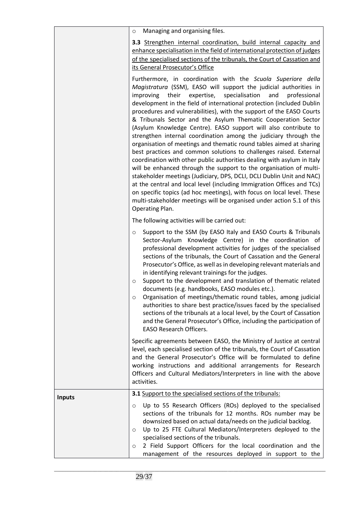|               | Managing and organising files.<br>$\circ$                                                                                                                                                                                                                                                                                                                                                                                                                                                                                                                                                                                                                                                                                                                                                                                                                                                                                                                                                                                                                                                                                                                                                      |
|---------------|------------------------------------------------------------------------------------------------------------------------------------------------------------------------------------------------------------------------------------------------------------------------------------------------------------------------------------------------------------------------------------------------------------------------------------------------------------------------------------------------------------------------------------------------------------------------------------------------------------------------------------------------------------------------------------------------------------------------------------------------------------------------------------------------------------------------------------------------------------------------------------------------------------------------------------------------------------------------------------------------------------------------------------------------------------------------------------------------------------------------------------------------------------------------------------------------|
|               | 3.3 Strengthen internal coordination, build internal capacity and<br>enhance specialisation in the field of international protection of judges<br>of the specialised sections of the tribunals, the Court of Cassation and<br>its General Prosecutor's Office                                                                                                                                                                                                                                                                                                                                                                                                                                                                                                                                                                                                                                                                                                                                                                                                                                                                                                                                  |
|               | Furthermore, in coordination with the Scuola Superiore della<br>Magistratura (SSM), EASO will support the judicial authorities in<br>their<br>expertise,<br>specialisation<br>improving<br>and<br>professional<br>development in the field of international protection (included Dublin<br>procedures and vulnerabilities), with the support of the EASO Courts<br>& Tribunals Sector and the Asylum Thematic Cooperation Sector<br>(Asylum Knowledge Centre). EASO support will also contribute to<br>strengthen internal coordination among the judiciary through the<br>organisation of meetings and thematic round tables aimed at sharing<br>best practices and common solutions to challenges raised. External<br>coordination with other public authorities dealing with asylum in Italy<br>will be enhanced through the support to the organisation of multi-<br>stakeholder meetings (Judiciary, DPS, DCLI, DCLI Dublin Unit and NAC)<br>at the central and local level (including Immigration Offices and TCs)<br>on specific topics (ad hoc meetings), with focus on local level. These<br>multi-stakeholder meetings will be organised under action 5.1 of this<br>Operating Plan. |
|               | The following activities will be carried out:                                                                                                                                                                                                                                                                                                                                                                                                                                                                                                                                                                                                                                                                                                                                                                                                                                                                                                                                                                                                                                                                                                                                                  |
|               | Support to the SSM (by EASO Italy and EASO Courts & Tribunals<br>$\circ$<br>Sector-Asylum Knowledge Centre) in the coordination of<br>professional development activities for judges of the specialised<br>sections of the tribunals, the Court of Cassation and the General<br>Prosecutor's Office, as well as in developing relevant materials and<br>in identifying relevant trainings for the judges.<br>Support to the development and translation of thematic related<br>$\circ$<br>documents (e.g. handbooks, EASO modules etc.).<br>Organisation of meetings/thematic round tables, among judicial<br>O<br>authorities to share best practice/issues faced by the specialised<br>sections of the tribunals at a local level, by the Court of Cassation<br>and the General Prosecutor's Office, including the participation of<br><b>EASO Research Officers.</b>                                                                                                                                                                                                                                                                                                                        |
|               | Specific agreements between EASO, the Ministry of Justice at central<br>level, each specialised section of the tribunals, the Court of Cassation<br>and the General Prosecutor's Office will be formulated to define<br>working instructions and additional arrangements for Research<br>Officers and Cultural Mediators/Interpreters in line with the above<br>activities.                                                                                                                                                                                                                                                                                                                                                                                                                                                                                                                                                                                                                                                                                                                                                                                                                    |
| <b>Inputs</b> | 3.1 Support to the specialised sections of the tribunals:                                                                                                                                                                                                                                                                                                                                                                                                                                                                                                                                                                                                                                                                                                                                                                                                                                                                                                                                                                                                                                                                                                                                      |
|               | Up to 55 Research Officers (ROs) deployed to the specialised<br>$\circ$<br>sections of the tribunals for 12 months. ROs number may be<br>downsized based on actual data/needs on the judicial backlog.<br>Up to 25 FTE Cultural Mediators/Interpreters deployed to the<br>$\circ$<br>specialised sections of the tribunals.                                                                                                                                                                                                                                                                                                                                                                                                                                                                                                                                                                                                                                                                                                                                                                                                                                                                    |
|               | 2 Field Support Officers for the local coordination and the<br>O<br>management of the resources deployed in support to the                                                                                                                                                                                                                                                                                                                                                                                                                                                                                                                                                                                                                                                                                                                                                                                                                                                                                                                                                                                                                                                                     |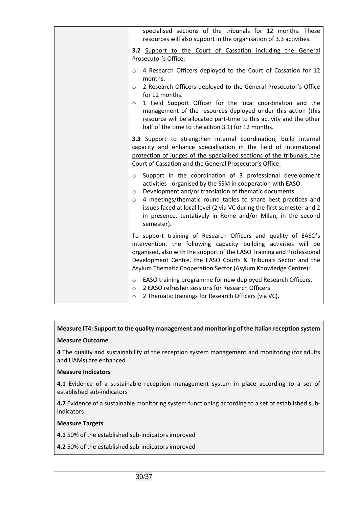| specialised sections of the tribunals for 12 months. These<br>resources will also support in the organisation of 3.3 activities.                                                                                                                                                                                                                                                                                                                                                                                                                                                                                                                                                                         |
|----------------------------------------------------------------------------------------------------------------------------------------------------------------------------------------------------------------------------------------------------------------------------------------------------------------------------------------------------------------------------------------------------------------------------------------------------------------------------------------------------------------------------------------------------------------------------------------------------------------------------------------------------------------------------------------------------------|
| 3.2 Support to the Court of Cassation including the General<br>Prosecutor's Office:                                                                                                                                                                                                                                                                                                                                                                                                                                                                                                                                                                                                                      |
| 4 Research Officers deployed to the Court of Cassation for 12<br>$\circ$<br>months.<br>2 Research Officers deployed to the General Prosecutor's Office<br>$\circ$<br>for 12 months.<br>1 Field Support Officer for the local coordination and the<br>$\circ$<br>management of the resources deployed under this action (this<br>resource will be allocated part-time to this activity and the other<br>half of the time to the action 3.1) for 12 months.                                                                                                                                                                                                                                                |
| 3.3 Support to strengthen internal coordination, build internal<br>capacity and enhance specialisation in the field of international<br>protection of judges of the specialised sections of the tribunals, the<br>Court of Cassation and the General Prosecutor's Office:<br>Support in the coordination of 3 professional development<br>$\circ$<br>activities - organised by the SSM in cooperation with EASO.<br>Development and/or translation of thematic documents.<br>$\circ$<br>4 meetings/thematic round tables to share best practices and<br>$\circ$<br>issues faced at local level (2 via VC during the first semester and 2<br>in presence, tentatively in Rome and/or Milan, in the second |
| semester).<br>To support training of Research Officers and quality of EASO's<br>intervention, the following capacity building activities will be<br>organised, also with the support of the EASO Training and Professional<br>Development Centre, the EASO Courts & Tribunals Sector and the<br>Asylum Thematic Cooperation Sector (Asylum Knowledge Centre):                                                                                                                                                                                                                                                                                                                                            |
| EASO training programme for new deployed Research Officers.<br>$\circ$<br>2 EASO refresher sessions for Research Officers.<br>$\circ$<br>2 Thematic trainings for Research Officers (via VC).<br>$\circ$                                                                                                                                                                                                                                                                                                                                                                                                                                                                                                 |

# **Measure IT4: Support to the quality management and monitoring of the Italian reception system**

# **Measure Outcome**

**4** The quality and sustainability of the reception system management and monitoring (for adults and UAMs) are enhanced

# **Measure Indicators**

**4.1** Evidence of a sustainable reception management system in place according to a set of established sub-indicators

**4.2** Evidence of a sustainable monitoring system functioning according to a set of established subindicators

\_\_\_\_\_\_\_\_\_\_\_\_\_\_\_\_\_\_\_\_\_\_\_\_\_\_\_\_\_\_\_\_\_\_\_\_\_\_\_\_\_\_\_\_\_\_\_\_\_\_\_\_\_\_\_\_\_\_\_\_\_\_\_\_\_\_\_\_\_\_\_\_\_\_\_\_\_\_\_\_\_\_\_\_\_\_\_\_\_\_\_\_\_\_\_\_\_\_\_\_

# **Measure Targets**

**4.1** 50% of the established sub-indicators improved

**4.2** 50% of the established sub-indicators improved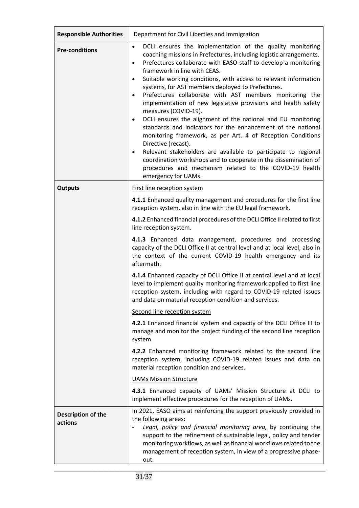| <b>Responsible Authorities</b> | Department for Civil Liberties and Immigration                                                                                                                                                                                                                                                                                                                                                                                                                                                                                                                                                                                                                                                                                                                                                                                                                                                                                                                                                                                              |
|--------------------------------|---------------------------------------------------------------------------------------------------------------------------------------------------------------------------------------------------------------------------------------------------------------------------------------------------------------------------------------------------------------------------------------------------------------------------------------------------------------------------------------------------------------------------------------------------------------------------------------------------------------------------------------------------------------------------------------------------------------------------------------------------------------------------------------------------------------------------------------------------------------------------------------------------------------------------------------------------------------------------------------------------------------------------------------------|
| <b>Pre-conditions</b>          | DCLI ensures the implementation of the quality monitoring<br>$\bullet$<br>coaching missions in Prefectures, including logistic arrangements.<br>Prefectures collaborate with EASO staff to develop a monitoring<br>$\bullet$<br>framework in line with CEAS.<br>Suitable working conditions, with access to relevant information<br>$\bullet$<br>systems, for AST members deployed to Prefectures.<br>Prefectures collaborate with AST members monitoring the<br>$\bullet$<br>implementation of new legislative provisions and health safety<br>measures (COVID-19).<br>DCLI ensures the alignment of the national and EU monitoring<br>$\bullet$<br>standards and indicators for the enhancement of the national<br>monitoring framework, as per Art. 4 of Reception Conditions<br>Directive (recast).<br>Relevant stakeholders are available to participate to regional<br>$\bullet$<br>coordination workshops and to cooperate in the dissemination of<br>procedures and mechanism related to the COVID-19 health<br>emergency for UAMs. |
| <b>Outputs</b>                 | First line reception system                                                                                                                                                                                                                                                                                                                                                                                                                                                                                                                                                                                                                                                                                                                                                                                                                                                                                                                                                                                                                 |
|                                | 4.1.1 Enhanced quality management and procedures for the first line<br>reception system, also in line with the EU legal framework.<br>4.1.2 Enhanced financial procedures of the DCLI Office II related to first                                                                                                                                                                                                                                                                                                                                                                                                                                                                                                                                                                                                                                                                                                                                                                                                                            |
|                                | line reception system.<br>4.1.3 Enhanced data management, procedures and processing                                                                                                                                                                                                                                                                                                                                                                                                                                                                                                                                                                                                                                                                                                                                                                                                                                                                                                                                                         |
|                                | capacity of the DCLI Office II at central level and at local level, also in<br>the context of the current COVID-19 health emergency and its<br>aftermath.                                                                                                                                                                                                                                                                                                                                                                                                                                                                                                                                                                                                                                                                                                                                                                                                                                                                                   |
|                                | 4.1.4 Enhanced capacity of DCLI Office II at central level and at local<br>level to implement quality monitoring framework applied to first line<br>reception system, including with regard to COVID-19 related issues<br>and data on material reception condition and services.                                                                                                                                                                                                                                                                                                                                                                                                                                                                                                                                                                                                                                                                                                                                                            |
|                                | Second line reception system                                                                                                                                                                                                                                                                                                                                                                                                                                                                                                                                                                                                                                                                                                                                                                                                                                                                                                                                                                                                                |
|                                | 4.2.1 Enhanced financial system and capacity of the DCLI Office III to<br>manage and monitor the project funding of the second line reception<br>system.                                                                                                                                                                                                                                                                                                                                                                                                                                                                                                                                                                                                                                                                                                                                                                                                                                                                                    |
|                                | 4.2.2 Enhanced monitoring framework related to the second line<br>reception system, including COVID-19 related issues and data on<br>material reception condition and services.                                                                                                                                                                                                                                                                                                                                                                                                                                                                                                                                                                                                                                                                                                                                                                                                                                                             |
|                                | <b>UAMs Mission Structure</b>                                                                                                                                                                                                                                                                                                                                                                                                                                                                                                                                                                                                                                                                                                                                                                                                                                                                                                                                                                                                               |
|                                | 4.3.1 Enhanced capacity of UAMs' Mission Structure at DCLI to<br>implement effective procedures for the reception of UAMs.                                                                                                                                                                                                                                                                                                                                                                                                                                                                                                                                                                                                                                                                                                                                                                                                                                                                                                                  |
| Description of the<br>actions  | In 2021, EASO aims at reinforcing the support previously provided in<br>the following areas:<br>Legal, policy and financial monitoring area, by continuing the<br>support to the refinement of sustainable legal, policy and tender<br>monitoring workflows, as well as financial workflows related to the<br>management of reception system, in view of a progressive phase-<br>out.                                                                                                                                                                                                                                                                                                                                                                                                                                                                                                                                                                                                                                                       |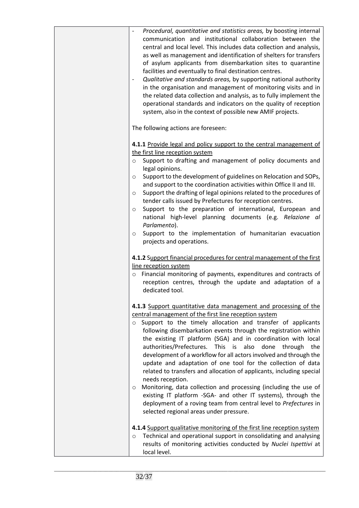| Procedural, quantitative and statistics areas, by boosting internal<br>communication and institutional collaboration between the<br>central and local level. This includes data collection and analysis,<br>as well as management and identification of shelters for transfers<br>of asylum applicants from disembarkation sites to quarantine<br>facilities and eventually to final destination centres.<br>Qualitative and standards areas, by supporting national authority<br>in the organisation and management of monitoring visits and in<br>the related data collection and analysis, as to fully implement the<br>operational standards and indicators on the quality of reception<br>system, also in the context of possible new AMIF projects.                                                                                                                              |
|----------------------------------------------------------------------------------------------------------------------------------------------------------------------------------------------------------------------------------------------------------------------------------------------------------------------------------------------------------------------------------------------------------------------------------------------------------------------------------------------------------------------------------------------------------------------------------------------------------------------------------------------------------------------------------------------------------------------------------------------------------------------------------------------------------------------------------------------------------------------------------------|
| The following actions are foreseen:                                                                                                                                                                                                                                                                                                                                                                                                                                                                                                                                                                                                                                                                                                                                                                                                                                                    |
| 4.1.1 Provide legal and policy support to the central management of<br>the first line reception system<br>Support to drafting and management of policy documents and<br>$\circ$<br>legal opinions.<br>Support to the development of guidelines on Relocation and SOPs,<br>O<br>and support to the coordination activities within Office II and III.<br>Support the drafting of legal opinions related to the procedures of<br>O<br>tender calls issued by Prefectures for reception centres.<br>Support to the preparation of international, European and<br>$\circ$<br>national high-level planning documents (e.g. Relazione al<br>Parlamento).<br>Support to the implementation of humanitarian evacuation<br>$\circ$                                                                                                                                                               |
| projects and operations.                                                                                                                                                                                                                                                                                                                                                                                                                                                                                                                                                                                                                                                                                                                                                                                                                                                               |
| 4.1.2 Support financial procedures for central management of the first<br>line reception system<br>$\circ$ Financial monitoring of payments, expenditures and contracts of<br>reception centres, through the update and adaptation of a<br>dedicated tool.                                                                                                                                                                                                                                                                                                                                                                                                                                                                                                                                                                                                                             |
| 4.1.3 Support quantitative data management and processing of the<br>central management of the first line reception system<br>o Support to the timely allocation and transfer of applicants<br>following disembarkation events through the registration within<br>the existing IT platform (SGA) and in coordination with local<br>authorities/Prefectures.<br>This is also<br>done through<br>the<br>development of a workflow for all actors involved and through the<br>update and adaptation of one tool for the collection of data<br>related to transfers and allocation of applicants, including special<br>needs reception.<br>Monitoring, data collection and processing (including the use of<br>existing IT platform -SGA- and other IT systems), through the<br>deployment of a roving team from central level to Prefectures in<br>selected regional areas under pressure. |
| 4.1.4 Support qualitative monitoring of the first line reception system<br>Technical and operational support in consolidating and analysing<br>$\circ$<br>results of monitoring activities conducted by Nuclei Ispettivi at<br>local level.                                                                                                                                                                                                                                                                                                                                                                                                                                                                                                                                                                                                                                            |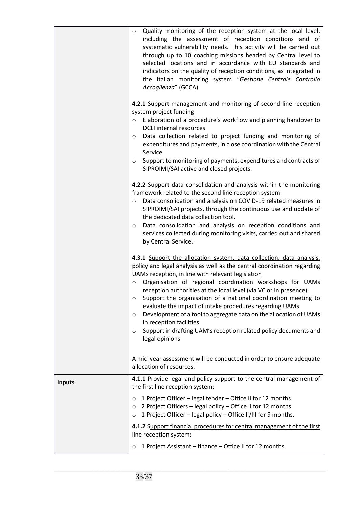|               | Quality monitoring of the reception system at the local level,<br>$\circ$<br>including the assessment of reception conditions and of<br>systematic vulnerability needs. This activity will be carried out<br>through up to 10 coaching missions headed by Central level to<br>selected locations and in accordance with EU standards and<br>indicators on the quality of reception conditions, as integrated in<br>the Italian monitoring system "Gestione Centrale Controllo<br>Accoglienza" (GCCA).<br>4.2.1 Support management and monitoring of second line reception<br>system project funding<br>Elaboration of a procedure's workflow and planning handover to<br>$\circ$<br><b>DCLI</b> internal resources<br>Data collection related to project funding and monitoring of<br>$\circ$<br>expenditures and payments, in close coordination with the Central<br>Service.<br>Support to monitoring of payments, expenditures and contracts of<br>$\circ$<br>SIPROIMI/SAI active and closed projects.<br>4.2.2 Support data consolidation and analysis within the monitoring<br>framework related to the second line reception system<br>Data consolidation and analysis on COVID-19 related measures in<br>$\circ$<br>SIPROIMI/SAI projects, through the continuous use and update of<br>the dedicated data collection tool.<br>Data consolidation and analysis on reception conditions and<br>$\circ$<br>services collected during monitoring visits, carried out and shared<br>by Central Service.<br>4.3.1 Support the allocation system, data collection, data analysis,<br>policy and legal analysis as well as the central coordination regarding |
|---------------|--------------------------------------------------------------------------------------------------------------------------------------------------------------------------------------------------------------------------------------------------------------------------------------------------------------------------------------------------------------------------------------------------------------------------------------------------------------------------------------------------------------------------------------------------------------------------------------------------------------------------------------------------------------------------------------------------------------------------------------------------------------------------------------------------------------------------------------------------------------------------------------------------------------------------------------------------------------------------------------------------------------------------------------------------------------------------------------------------------------------------------------------------------------------------------------------------------------------------------------------------------------------------------------------------------------------------------------------------------------------------------------------------------------------------------------------------------------------------------------------------------------------------------------------------------------------------------------------------------------------------------------------------------------|
|               | UAMs reception, in line with relevant legislation<br>Organisation of regional coordination workshops for UAMs<br>$\circ$<br>reception authorities at the local level (via VC or in presence).<br>Support the organisation of a national coordination meeting to<br>O<br>evaluate the impact of intake procedures regarding UAMs.<br>Development of a tool to aggregate data on the allocation of UAMs<br>$\circ$<br>in reception facilities.<br>Support in drafting UAM's reception related policy documents and<br>O<br>legal opinions.                                                                                                                                                                                                                                                                                                                                                                                                                                                                                                                                                                                                                                                                                                                                                                                                                                                                                                                                                                                                                                                                                                                     |
|               | A mid-year assessment will be conducted in order to ensure adequate<br>allocation of resources.                                                                                                                                                                                                                                                                                                                                                                                                                                                                                                                                                                                                                                                                                                                                                                                                                                                                                                                                                                                                                                                                                                                                                                                                                                                                                                                                                                                                                                                                                                                                                              |
| <b>Inputs</b> | 4.1.1 Provide legal and policy support to the central management of<br>the first line reception system:<br>1 Project Officer - legal tender - Office II for 12 months.<br>$\circ$<br>2 Project Officers - legal policy - Office II for 12 months.<br>$\circ$<br>1 Project Officer - legal policy - Office II/III for 9 months.<br>$\circ$                                                                                                                                                                                                                                                                                                                                                                                                                                                                                                                                                                                                                                                                                                                                                                                                                                                                                                                                                                                                                                                                                                                                                                                                                                                                                                                    |
|               | 4.1.2 Support financial procedures for central management of the first<br>line reception system:<br>1 Project Assistant - finance - Office II for 12 months.<br>$\circ$                                                                                                                                                                                                                                                                                                                                                                                                                                                                                                                                                                                                                                                                                                                                                                                                                                                                                                                                                                                                                                                                                                                                                                                                                                                                                                                                                                                                                                                                                      |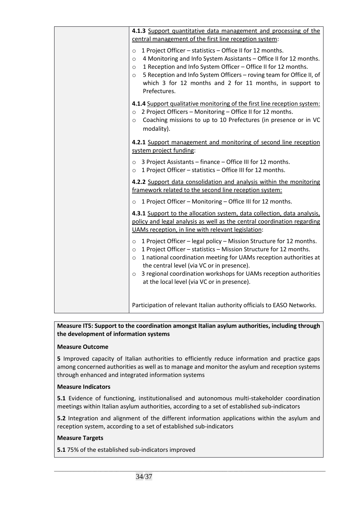| 4.1.3 Support quantitative data management and processing of the<br>central management of the first line reception system:                                                                                                                                                                                                                                                                                                 |
|----------------------------------------------------------------------------------------------------------------------------------------------------------------------------------------------------------------------------------------------------------------------------------------------------------------------------------------------------------------------------------------------------------------------------|
| 1 Project Officer - statistics - Office II for 12 months.<br>$\circ$<br>4 Monitoring and Info System Assistants - Office II for 12 months.<br>$\circ$<br>1 Reception and Info System Officer - Office II for 12 months.<br>$\circ$<br>5 Reception and Info System Officers - roving team for Office II, of<br>$\circ$<br>which 3 for 12 months and 2 for 11 months, in support to<br>Prefectures.                          |
| 4.1.4 Support qualitative monitoring of the first line reception system:<br>o 2 Project Officers - Monitoring - Office II for 12 months.<br>Coaching missions to up to 10 Prefectures (in presence or in VC<br>$\circ$<br>modality).                                                                                                                                                                                       |
| 4.2.1 Support management and monitoring of second line reception<br>system project funding:                                                                                                                                                                                                                                                                                                                                |
| 3 Project Assistants - finance - Office III for 12 months.<br>$\circ$<br>1 Project Officer - statistics - Office III for 12 months.<br>$\circ$                                                                                                                                                                                                                                                                             |
| 4.2.2 Support data consolidation and analysis within the monitoring<br>framework related to the second line reception system:                                                                                                                                                                                                                                                                                              |
| 1 Project Officer - Monitoring - Office III for 12 months.<br>$\circ$                                                                                                                                                                                                                                                                                                                                                      |
| 4.3.1 Support to the allocation system, data collection, data analysis,<br>policy and legal analysis as well as the central coordination regarding<br>UAMs reception, in line with relevant legislation:                                                                                                                                                                                                                   |
| 1 Project Officer - legal policy - Mission Structure for 12 months.<br>$\circ$<br>1 Project Officer - statistics - Mission Structure for 12 months.<br>$\circ$<br>1 national coordination meeting for UAMs reception authorities at<br>$\circ$<br>the central level (via VC or in presence).<br>3 regional coordination workshops for UAMs reception authorities<br>$\circ$<br>at the local level (via VC or in presence). |
| Participation of relevant Italian authority officials to EASO Networks.                                                                                                                                                                                                                                                                                                                                                    |

# **Measure IT5: Support to the coordination amongst Italian asylum authorities, including through the development of information systems**

# **Measure Outcome**

**5** Improved capacity of Italian authorities to efficiently reduce information and practice gaps among concerned authorities as well as to manage and monitor the asylum and reception systems through enhanced and integrated information systems

# **Measure Indicators**

**5.1** Evidence of functioning, institutionalised and autonomous multi-stakeholder coordination meetings within Italian asylum authorities, according to a set of established sub-indicators

**5.2** Integration and alignment of the different information applications within the asylum and reception system, according to a set of established sub-indicators

\_\_\_\_\_\_\_\_\_\_\_\_\_\_\_\_\_\_\_\_\_\_\_\_\_\_\_\_\_\_\_\_\_\_\_\_\_\_\_\_\_\_\_\_\_\_\_\_\_\_\_\_\_\_\_\_\_\_\_\_\_\_\_\_\_\_\_\_\_\_\_\_\_\_\_\_\_\_\_\_\_\_\_\_\_\_\_\_\_\_\_\_\_\_\_\_\_\_\_\_

# **Measure Targets**

**5.1** 75% of the established sub-indicators improved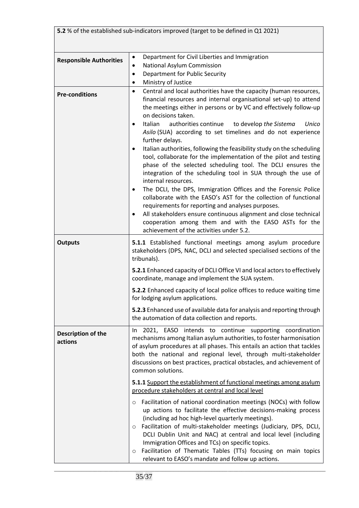| 5.2 % of the established sub-indicators improved (target to be defined in Q1 2021) |                                                                                                                                                                                                                                                                                                                                                                                                                                                                                                                                                                                                                                                                                                                                                                                                                                                                                                                                                                                                                                                                                                                               |
|------------------------------------------------------------------------------------|-------------------------------------------------------------------------------------------------------------------------------------------------------------------------------------------------------------------------------------------------------------------------------------------------------------------------------------------------------------------------------------------------------------------------------------------------------------------------------------------------------------------------------------------------------------------------------------------------------------------------------------------------------------------------------------------------------------------------------------------------------------------------------------------------------------------------------------------------------------------------------------------------------------------------------------------------------------------------------------------------------------------------------------------------------------------------------------------------------------------------------|
| <b>Responsible Authorities</b>                                                     | Department for Civil Liberties and Immigration<br>$\bullet$<br>National Asylum Commission<br>$\bullet$<br>Department for Public Security<br>$\bullet$<br>Ministry of Justice<br>٠                                                                                                                                                                                                                                                                                                                                                                                                                                                                                                                                                                                                                                                                                                                                                                                                                                                                                                                                             |
| <b>Pre-conditions</b>                                                              | Central and local authorities have the capacity (human resources,<br>$\bullet$<br>financial resources and internal organisational set-up) to attend<br>the meetings either in persons or by VC and effectively follow-up<br>on decisions taken.<br>authorities continue<br>Italian<br>to develop the Sistema<br>Unico<br>$\bullet$<br>Asilo (SUA) according to set timelines and do not experience<br>further delays.<br>Italian authorities, following the feasibility study on the scheduling<br>$\bullet$<br>tool, collaborate for the implementation of the pilot and testing<br>phase of the selected scheduling tool. The DCLI ensures the<br>integration of the scheduling tool in SUA through the use of<br>internal resources.<br>The DCLI, the DPS, Immigration Offices and the Forensic Police<br>٠<br>collaborate with the EASO's AST for the collection of functional<br>requirements for reporting and analyses purposes.<br>All stakeholders ensure continuous alignment and close technical<br>$\bullet$<br>cooperation among them and with the EASO ASTs for the<br>achievement of the activities under 5.2. |
| <b>Outputs</b>                                                                     | 5.1.1 Established functional meetings among asylum procedure<br>stakeholders (DPS, NAC, DCLI and selected specialised sections of the<br>tribunals).                                                                                                                                                                                                                                                                                                                                                                                                                                                                                                                                                                                                                                                                                                                                                                                                                                                                                                                                                                          |
|                                                                                    | 5.2.1 Enhanced capacity of DCLI Office VI and local actors to effectively<br>coordinate, manage and implement the SUA system.                                                                                                                                                                                                                                                                                                                                                                                                                                                                                                                                                                                                                                                                                                                                                                                                                                                                                                                                                                                                 |
|                                                                                    | 5.2.2 Enhanced capacity of local police offices to reduce waiting time<br>for lodging asylum applications.                                                                                                                                                                                                                                                                                                                                                                                                                                                                                                                                                                                                                                                                                                                                                                                                                                                                                                                                                                                                                    |
|                                                                                    | 5.2.3 Enhanced use of available data for analysis and reporting through<br>the automation of data collection and reports.                                                                                                                                                                                                                                                                                                                                                                                                                                                                                                                                                                                                                                                                                                                                                                                                                                                                                                                                                                                                     |
| Description of the<br>actions                                                      | 2021, EASO intends to continue supporting coordination<br>In<br>mechanisms among Italian asylum authorities, to foster harmonisation<br>of asylum procedures at all phases. This entails an action that tackles<br>both the national and regional level, through multi-stakeholder<br>discussions on best practices, practical obstacles, and achievement of<br>common solutions.                                                                                                                                                                                                                                                                                                                                                                                                                                                                                                                                                                                                                                                                                                                                             |
|                                                                                    | 5.1.1 Support the establishment of functional meetings among asylum<br>procedure stakeholders at central and local level                                                                                                                                                                                                                                                                                                                                                                                                                                                                                                                                                                                                                                                                                                                                                                                                                                                                                                                                                                                                      |
|                                                                                    | Facilitation of national coordination meetings (NOCs) with follow<br>$\circ$<br>up actions to facilitate the effective decisions-making process<br>(including ad hoc high-level quarterly meetings).<br>Facilitation of multi-stakeholder meetings (Judiciary, DPS, DCLI,<br>$\circ$<br>DCLI Dublin Unit and NAC) at central and local level (including<br>Immigration Offices and TCs) on specific topics.<br>Facilitation of Thematic Tables (TTs) focusing on main topics<br>$\circ$<br>relevant to EASO's mandate and follow up actions.                                                                                                                                                                                                                                                                                                                                                                                                                                                                                                                                                                                  |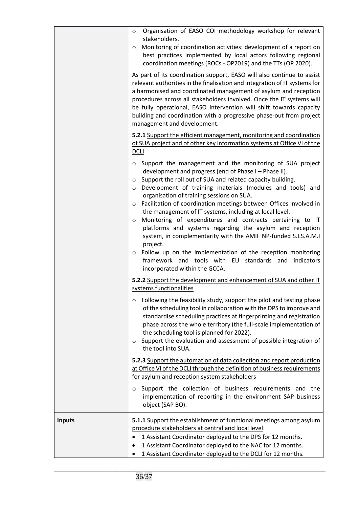|               | Organisation of EASO COI methodology workshop for relevant<br>$\circ$<br>stakeholders.<br>Monitoring of coordination activities: development of a report on<br>$\circ$<br>best practices implemented by local actors following regional<br>coordination meetings (ROCs - OP2019) and the TTs (OP 2020).<br>As part of its coordination support, EASO will also continue to assist<br>relevant authorities in the finalisation and integration of IT systems for<br>a harmonised and coordinated management of asylum and reception<br>procedures across all stakeholders involved. Once the IT systems will<br>be fully operational, EASO intervention will shift towards capacity<br>building and coordination with a progressive phase-out from project<br>management and development.                                                                      |
|---------------|---------------------------------------------------------------------------------------------------------------------------------------------------------------------------------------------------------------------------------------------------------------------------------------------------------------------------------------------------------------------------------------------------------------------------------------------------------------------------------------------------------------------------------------------------------------------------------------------------------------------------------------------------------------------------------------------------------------------------------------------------------------------------------------------------------------------------------------------------------------|
|               | 5.2.1 Support the efficient management, monitoring and coordination<br>of SUA project and of other key information systems at Office VI of the<br><b>DCLI</b>                                                                                                                                                                                                                                                                                                                                                                                                                                                                                                                                                                                                                                                                                                 |
|               | Support the management and the monitoring of SUA project<br>$\circ$<br>development and progress (end of Phase I - Phase II).<br>Support the roll out of SUA and related capacity building.<br>$\circ$<br>Development of training materials (modules and tools) and<br>$\circ$<br>organisation of training sessions on SUA.<br>Facilitation of coordination meetings between Offices involved in<br>$\circ$<br>the management of IT systems, including at local level.<br>Monitoring of expenditures and contracts pertaining to IT<br>$\circ$<br>platforms and systems regarding the asylum and reception<br>system, in complementarity with the AMIF NP-funded S.I.S.A.M.I<br>project.<br>Follow up on the implementation of the reception monitoring<br>$\circ$<br>framework and tools with EU<br>standards and indicators<br>incorporated within the GCCA. |
|               | 5.2.2 Support the development and enhancement of SUA and other IT<br>systems functionalities                                                                                                                                                                                                                                                                                                                                                                                                                                                                                                                                                                                                                                                                                                                                                                  |
|               | Following the feasibility study, support the pilot and testing phase<br>O<br>of the scheduling tool in collaboration with the DPS to improve and<br>standardise scheduling practices at fingerprinting and registration<br>phase across the whole territory (the full-scale implementation of<br>the scheduling tool is planned for 2022).<br>Support the evaluation and assessment of possible integration of<br>$\circ$<br>the tool into SUA.                                                                                                                                                                                                                                                                                                                                                                                                               |
|               | 5.2.3 Support the automation of data collection and report production<br>at Office VI of the DCLI through the definition of business requirements<br>for asylum and reception system stakeholders                                                                                                                                                                                                                                                                                                                                                                                                                                                                                                                                                                                                                                                             |
|               | Support the collection of business requirements and the<br>$\circ$<br>implementation of reporting in the environment SAP business<br>object (SAP BO).                                                                                                                                                                                                                                                                                                                                                                                                                                                                                                                                                                                                                                                                                                         |
| <b>Inputs</b> | 5.1.1 Support the establishment of functional meetings among asylum<br>procedure stakeholders at central and local level:<br>1 Assistant Coordinator deployed to the DPS for 12 months.<br>1 Assistant Coordinator deployed to the NAC for 12 months.<br>٠<br>1 Assistant Coordinator deployed to the DCLI for 12 months.                                                                                                                                                                                                                                                                                                                                                                                                                                                                                                                                     |